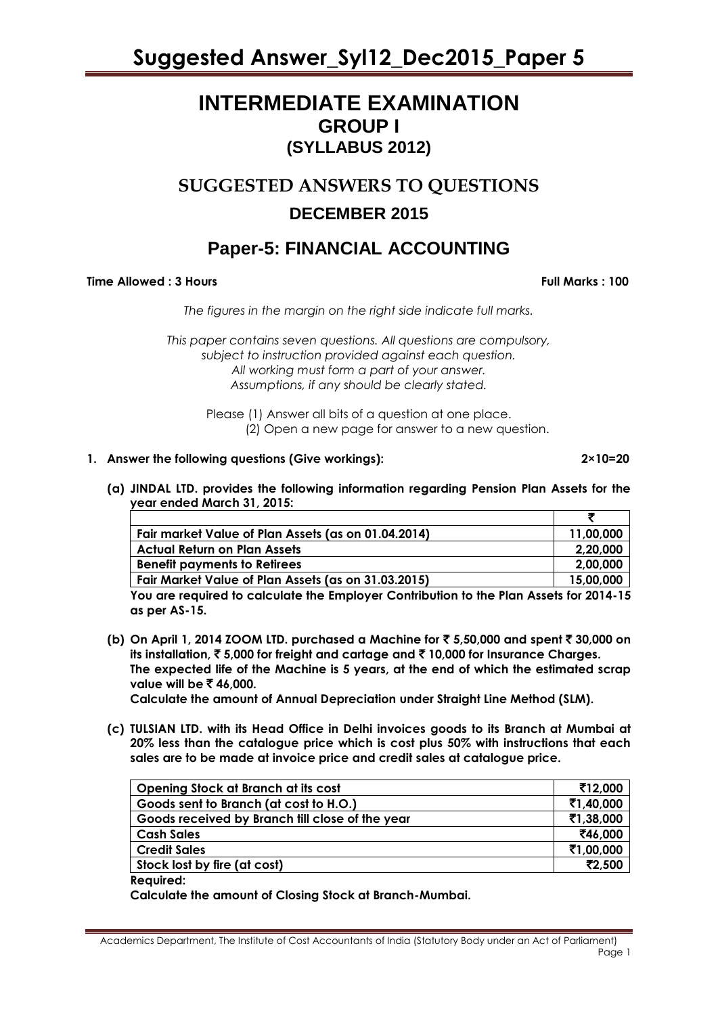# **INTERMEDIATE EXAMINATION GROUP I (SYLLABUS 2012)**

# **SUGGESTED ANSWERS TO QUESTIONS DECEMBER 2015**

# **Paper-5: FINANCIAL ACCOUNTING**

# **Time Allowed : 3 Hours Full Marks : 100**

*The figures in the margin on the right side indicate full marks.*

*This paper contains seven questions. All questions are compulsory, subject to instruction provided against each question. All working must form a part of your answer. Assumptions, if any should be clearly stated.*

> Please (1) Answer all bits of a question at one place. (2) Open a new page for answer to a new question.

# **1. Answer the following questions (Give workings): 2×10=20**

**(a) JINDAL LTD. provides the following information regarding Pension Plan Assets for the year ended March 31, 2015:**

| Fair market Value of Plan Assets (as on 01.04.2014)                                     | 11,00,000 |
|-----------------------------------------------------------------------------------------|-----------|
| <b>Actual Return on Plan Assets</b>                                                     | 2,20,000  |
| <b>Benefit payments to Retirees</b>                                                     | 2,00,000  |
| Fair Market Value of Plan Assets (as on 31.03.2015)                                     | 15,00,000 |
| Vou are required to calculate the Employer Centribution to the Plan Assets for 2014, 15 |           |

**You are required to calculate the Employer Contribution to the Plan Assets for 2014-15 as per AS-15.**

**(b) On April 1, 2014 ZOOM LTD. purchased a Machine for** ` **5,50,000 and spent** ` **30,000 on its installation,** ` **5,000 for freight and cartage and** ` **10,000 for Insurance Charges. The expected life of the Machine is 5 years, at the end of which the estimated scrap value will be ₹46,000.** 

**Calculate the amount of Annual Depreciation under Straight Line Method (SLM).**

**(c) TULSIAN LTD. with its Head Office in Delhi invoices goods to its Branch at Mumbai at 20% less than the catalogue price which is cost plus 50% with instructions that each sales are to be made at invoice price and credit sales at catalogue price.**

| Opening Stock at Branch at its cost             | ₹12,000   |
|-------------------------------------------------|-----------|
| Goods sent to Branch (at cost to H.O.)          | ₹1,40,000 |
| Goods received by Branch fill close of the year | ₹1,38,000 |
| <b>Cash Sales</b>                               | ₹46,000   |
| <b>Credit Sales</b>                             | ₹1,00,000 |
| Stock lost by fire (at cost)                    | ₹2,500    |
|                                                 |           |

**Required:**

**Calculate the amount of Closing Stock at Branch-Mumbai.**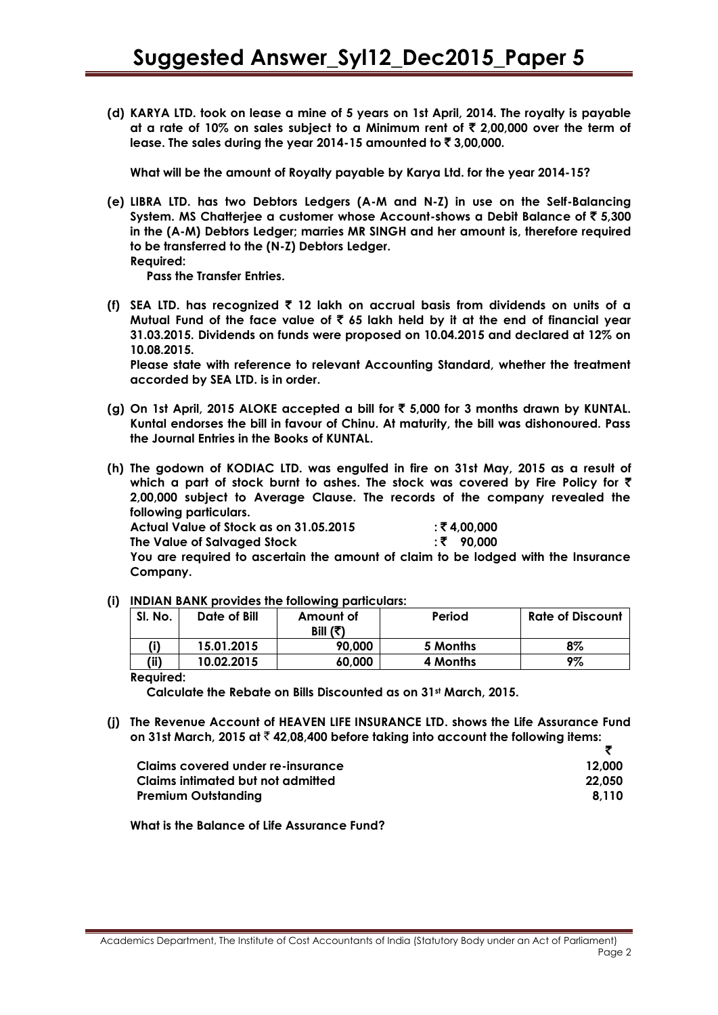**(d) KARYA LTD. took on lease a mine of 5 years on 1st April, 2014. The royalty is payable at a rate of 10% on sales subject to a Minimum rent of** ` **2,00,000 over the term of**  lease. The sales during the year 2014-15 amounted to ₹ 3,00,000.

**What will be the amount of Royalty payable by Karya Ltd. for the year 2014-15?**

- **(e) LIBRA LTD. has two Debtors Ledgers (A-M and N-Z) in use on the Self-Balancing System. MS Chatterjee a customer whose Account-shows a Debit Balance of** ` **5,300 in the (A-M) Debtors Ledger; marries MR SINGH and her amount is, therefore required to be transferred to the (N-Z) Debtors Ledger.**
	- **Required:**

**Pass the Transfer Entries.**

**(f) SEA LTD. has recognized** ` **12 lakh on accrual basis from dividends on units of a Mutual Fund of the face value of** ` **65 lakh held by it at the end of financial year 31.03.2015. Dividends on funds were proposed on 10.04.2015 and declared at 12% on 10.08.2015.**

**Please state with reference to relevant Accounting Standard, whether the treatment accorded by SEA LTD. is in order.**

- **(g) On 1st April, 2015 ALOKE accepted a bill for** ` **5,000 for 3 months drawn by KUNTAL. Kuntal endorses the bill in favour of Chinu. At maturity, the bill was dishonoured. Pass the Journal Entries in the Books of KUNTAL.**
- **(h) The godown of KODIAC LTD. was engulfed in fire on 31st May, 2015 as a result of which a part of stock burnt to ashes. The stock was covered by Fire Policy for** ` **2,00,000 subject to Average Clause. The records of the company revealed the following particulars.**

**Actual Value of Stock as on 31.05.2015 :** ` **4,00,000**

**The Value of Salvaged Stock :** ` **90,000**

**You are required to ascertain the amount of claim to be lodged with the Insurance Company.**

**(i) INDIAN BANK provides the following particulars:**

| Sl. No. | Date of Bill | Amount of<br>Bill $(3)$ | Period   | Rate of Discount |
|---------|--------------|-------------------------|----------|------------------|
|         | 15.01.2015   | 90,000                  | 5 Months | 8%               |
| (ii)    | 10.02.2015   | 60,000                  | 4 Months | 9%               |

#### **Required:**

**Calculate the Rebate on Bills Discounted as on 31st March, 2015.**

**(j) The Revenue Account of HEAVEN LIFE INSURANCE LTD. shows the Life Assurance Fund on 31st March, 2015 at** ` **42,08,400 before taking into account the following items:**

| Claims covered under re-insurance | 12.000 |
|-----------------------------------|--------|
| Claims infimated but not admitted | 22.050 |
| <b>Premium Outstanding</b>        | 8.110  |

**What is the Balance of Life Assurance Fund?**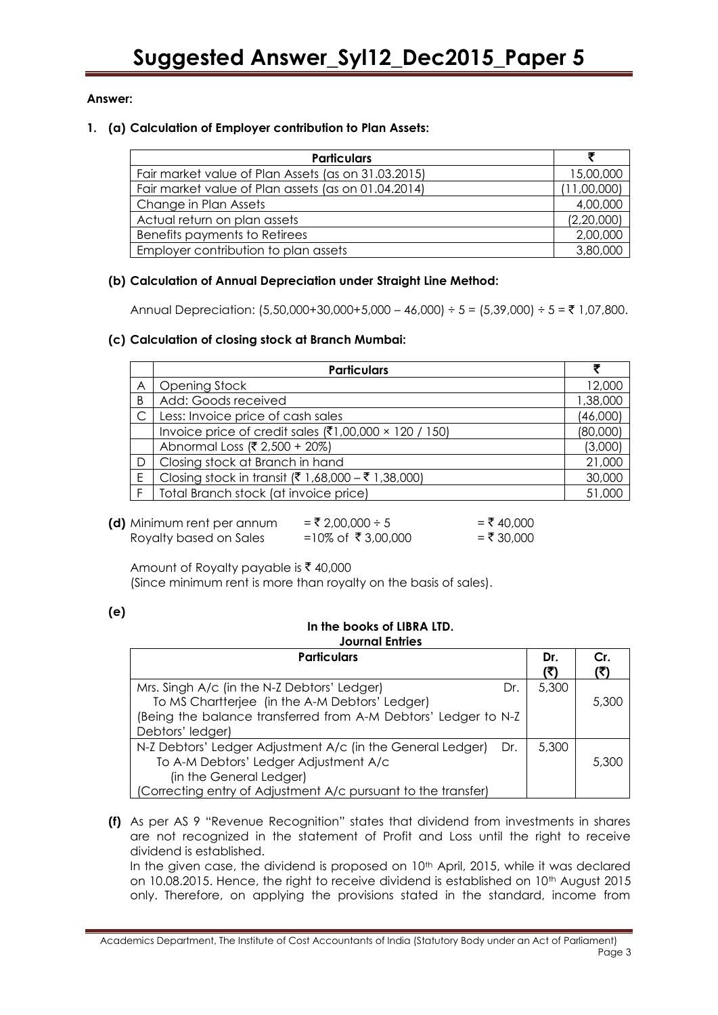# **Answer:**

### **1. (a) Calculation of Employer contribution to Plan Assets:**

| <b>Particulars</b>                                  |             |  |  |  |
|-----------------------------------------------------|-------------|--|--|--|
| Fair market value of Plan Assets (as on 31.03.2015) | 15,00,000   |  |  |  |
| Fair market value of Plan assets (as on 01.04.2014) | (11,00,000) |  |  |  |
| Change in Plan Assets                               | 4,00,000    |  |  |  |
| Actual return on plan assets                        | (2,20,000)  |  |  |  |
| Benefits payments to Retirees                       | 2,00,000    |  |  |  |
| Employer contribution to plan assets                | 3,80,000    |  |  |  |

# **(b) Calculation of Annual Depreciation under Straight Line Method:**

Annual Depreciation: (5,50,000+30,000+5,000 – 46,000) ÷ 5 = (5,39,000) ÷ 5 = ₹ 1,07,800.

# **(c) Calculation of closing stock at Branch Mumbai:**

|              | <b>Particulars</b>                                    |          |
|--------------|-------------------------------------------------------|----------|
| Α            | Opening Stock                                         | 12,000   |
| B            | Add: Goods received                                   | 1,38,000 |
| $\mathsf{C}$ | Less: Invoice price of cash sales                     | (46,000) |
|              | Invoice price of credit sales (₹1,00,000 × 120 / 150) | (80,000) |
|              | Abnormal Loss (₹ 2,500 + 20%)                         | (3,000)  |
| D            | Closing stock at Branch in hand                       | 21,000   |
| E            | Closing stock in transit (₹ 1,68,000 – ₹ 1,38,000)    | 30,000   |
|              | Total Branch stock (at invoice price)                 | 51,000   |

| (d) Minimum rent per annum | $=$ ₹ 2,00,000 ÷ 5 | $=$ ₹ 40.000 |
|----------------------------|--------------------|--------------|
| Royalty based on Sales     | =10% of ₹3,00,000  | $= ₹ 30.000$ |

Amount of Royalty payable is  $\bar{\tau}$  40,000

(Since minimum rent is more than royalty on the basis of sales).

# **(e)**

Г

# **In the books of LIBRA LTD.**

# **Journal Entries** Particulars Dr.

**Cr.** 

٦

| Mrs. Singh A/c (in the N-Z Debtors' Ledger)<br>Dr.                | 5,300 |       |
|-------------------------------------------------------------------|-------|-------|
| To MS Chartterjee (in the A-M Debtors' Ledger)                    |       | 5,300 |
| (Being the balance transferred from A-M Debtors' Ledger to N-Z    |       |       |
| Debtors' ledger)                                                  |       |       |
| N-Z Debtors' Ledger Adjustment A/c (in the General Ledger)<br>Dr. | 5.300 |       |
| To A-M Debtors' Ledger Adjustment A/c                             |       | 5,300 |
| (in the General Ledger)                                           |       |       |
| (Correcting entry of Adjustment A/c pursuant to the transfer)     |       |       |

**(f)** As per AS 9 "Revenue Recognition" states that dividend from investments in shares are not recognized in the statement of Profit and Loss until the right to receive dividend is established.

In the given case, the dividend is proposed on 10<sup>th</sup> April, 2015, while it was declared on 10.08.2015. Hence, the right to receive dividend is established on 10th August 2015 only. Therefore, on applying the provisions stated in the standard, income from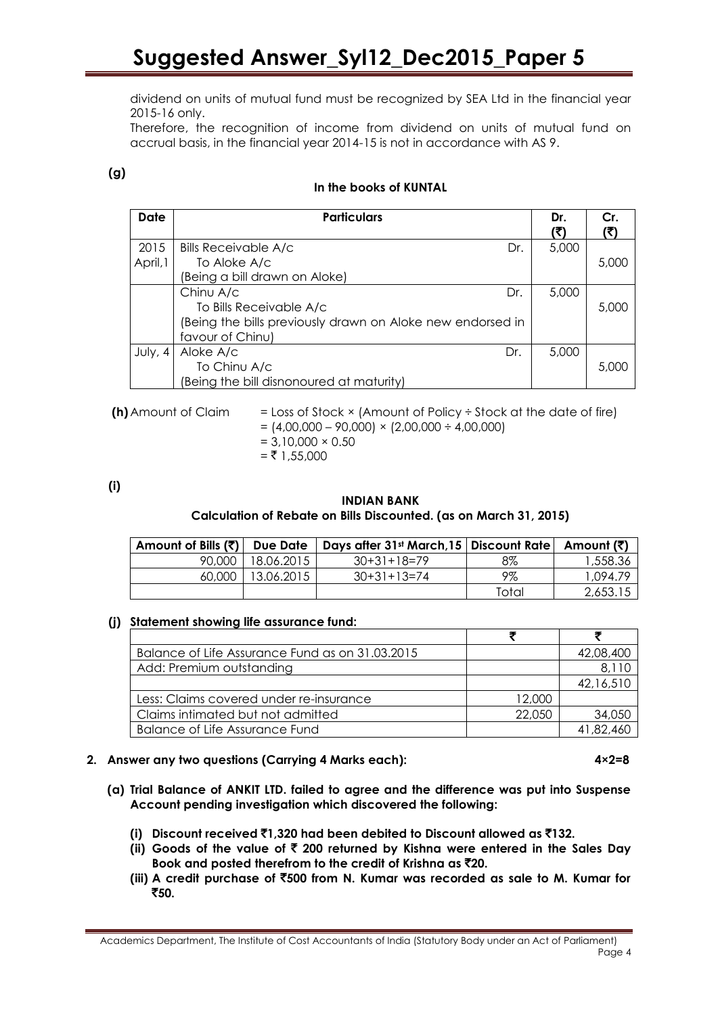dividend on units of mutual fund must be recognized by SEA Ltd in the financial year 2015-16 only.

Therefore, the recognition of income from dividend on units of mutual fund on accrual basis, in the financial year 2014-15 is not in accordance with AS 9.

# **(g)**

# **In the books of KUNTAL**

| Date     | <b>Particulars</b>                                         | Dr.   | Cr.   |
|----------|------------------------------------------------------------|-------|-------|
|          |                                                            |       |       |
| 2015     | <b>Bills Receivable A/c</b><br>Dr.                         | 5,000 |       |
| April, 1 | To Aloke A/c                                               |       | 5,000 |
|          | (Being a bill drawn on Aloke)                              |       |       |
|          | Chinu A/c<br>Dr.                                           | 5,000 |       |
|          | To Bills Receivable A/c                                    |       | 5.000 |
|          | (Being the bills previously drawn on Aloke new endorsed in |       |       |
|          | favour of Chinu)                                           |       |       |
| July, 4  | Aloke A/c<br>Dr.                                           | 5,000 |       |
|          | To Chinu A/c                                               |       | 5,000 |
|          | (Being the bill disnonoured at maturity)                   |       |       |

**(h)** Amount of Claim  $=$  Loss of Stock  $\times$  (Amount of Policy  $\div$  Stock at the date of fire)  $= (4,00,000 - 90,000) \times (2,00,000 \div 4,00,000)$  $= 3,10,000 \times 0.50$  $=$  ₹ 1,55,000

**(i)**

# **INDIAN BANK**

**Calculation of Rebate on Bills Discounted. (as on March 31, 2015)**

| Amount of Bills (₹) |            | Due Date   Days after 31st March, 15   Discount Rate   Amount ( $\bar{z}$ ) |       |          |
|---------------------|------------|-----------------------------------------------------------------------------|-------|----------|
| 90.000              | 18.06.2015 | $30+31+18=79$                                                               | 8%    | 1,558.36 |
| 60,000              | 13.06.2015 | $30+31+13=74$                                                               | 9%    | 1.094.79 |
|                     |            |                                                                             | Total | 2,653.15 |

# **(j) Statement showing life assurance fund:**

| Balance of Life Assurance Fund as on 31.03.2015 |        | 42,08,400 |
|-------------------------------------------------|--------|-----------|
| Add: Premium outstanding                        |        | 8,110     |
|                                                 |        | 42,16,510 |
| Less: Claims covered under re-insurance         | 12,000 |           |
| Claims intimated but not admitted               | 22,050 | 34,050    |
| Balance of Life Assurance Fund                  |        | 41.82.460 |

# **2. Answer any two questions (Carrying 4 Marks each): 4×2=8**

- **(a) Trial Balance of ANKIT LTD. failed to agree and the difference was put into Suspense Account pending investigation which discovered the following:**
	- **(i) Discount received** `**1,320 had been debited to Discount allowed as** `**132.**
	- **(ii) Goods of the value of** ` **200 returned by Kishna were entered in the Sales Day Book and posted therefrom to the credit of Krishna as** `**20.**
	- **(iii) A credit purchase of** `**500 from N. Kumar was recorded as sale to M. Kumar for**  `**50.**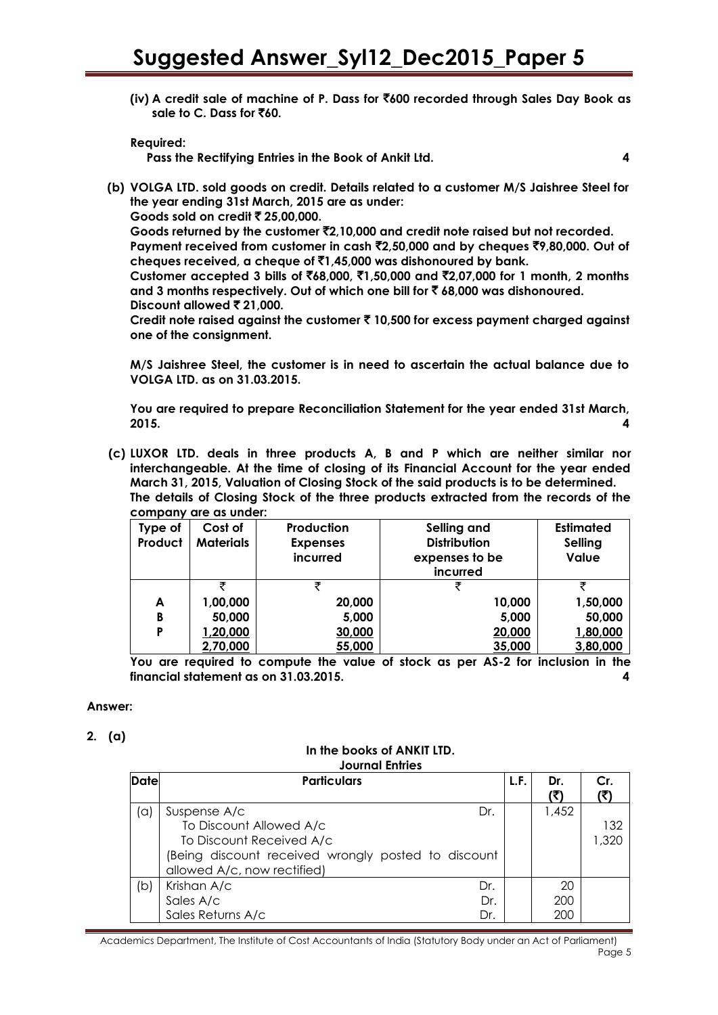**(iv) A credit sale of machine of P. Dass for** `**600 recorded through Sales Day Book as sale to C. Dass for** `**60.**

**Required:**

**Pass the Rectifying Entries in the Book of Ankit Ltd. 4**

**(b) VOLGA LTD. sold goods on credit. Details related to a customer M/S Jaishree Steel for the year ending 31st March, 2015 are as under:** 

**Goods sold on credit ₹ 25,00,000.** 

**Goods returned by the customer** `**2,10,000 and credit note raised but not recorded. Payment received from customer in cash** `**2,50,000 and by cheques** `**9,80,000. Out of cheques received, a cheque of** `**1,45,000 was dishonoured by bank.**

**Customer accepted 3 bills of** `**68,000,** `**1,50,000 and** `**2,07,000 for 1 month, 2 months and 3 months respectively. Out of which one bill for** ` **68,000 was dishonoured. Discount allowed ₹ 21,000.** 

**Credit note raised against the customer** ` **10,500 for excess payment charged against one of the consignment.** 

**M/S Jaishree Steel, the customer is in need to ascertain the actual balance due to VOLGA LTD. as on 31.03.2015.**

**You are required to prepare Reconciliation Statement for the year ended 31st March, 2015. 4**

**(c) LUXOR LTD. deals in three products A, B and P which are neither similar nor interchangeable. At the time of closing of its Financial Account for the year ended March 31, 2015, Valuation of Closing Stock of the said products is to be determined. The details of Closing Stock of the three products extracted from the records of the company are as under:**

| Type of<br>Product | Cost of<br><b>Materials</b> | Production<br><b>Expenses</b><br>incurred | Selling and<br><b>Distribution</b><br>expenses to be<br>incurred | <b>Estimated</b><br><b>Selling</b><br>Value |
|--------------------|-----------------------------|-------------------------------------------|------------------------------------------------------------------|---------------------------------------------|
|                    |                             |                                           |                                                                  | ₹                                           |
| A                  | 1,00,000                    | 20,000                                    | 10,000                                                           | 1,50,000                                    |
| B                  | 50,000                      | 5,000                                     | 5,000                                                            | 50,000                                      |
| Ρ                  | 1,20,000                    | 30,000                                    | 20,000                                                           | 1,80,000                                    |
|                    | 2,70,000                    | 55,000                                    | 35,000                                                           | 3,80,000                                    |

**You are required to compute the value of stock as per AS-2 for inclusion in the financial statement as on 31.03.2015. 4**

# **Answer:**

**2. (a)**

#### **In the books of ANKIT LTD. Journal Entries**

| Date | <b>Particulars</b>                                  | L.F. | Dr.<br>(خ) | Cr.   |
|------|-----------------------------------------------------|------|------------|-------|
| 'a)  | Suspense A/c<br>Dr.                                 |      | 1,452      |       |
|      | To Discount Allowed A/c                             |      |            | 132   |
|      | To Discount Received A/c                            |      |            | 1.320 |
|      | (Being discount received wrongly posted to discount |      |            |       |
|      | allowed A/c, now rectified)                         |      |            |       |
| (b   | Krishan A/c<br>Dr.                                  |      | 20         |       |
|      | Sales A/c<br>Dr.                                    |      | 200        |       |
|      | Sales Returns A/c<br>Dr.                            |      | 200        |       |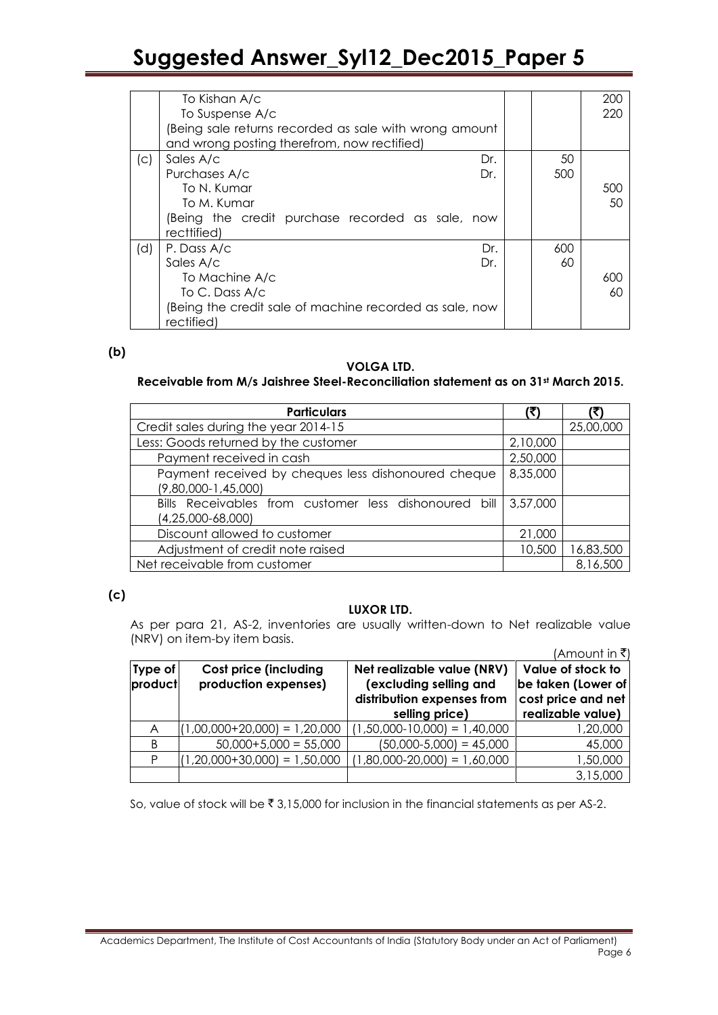|     | To Kishan A/c                                           |     | 200 |
|-----|---------------------------------------------------------|-----|-----|
|     | To Suspense A/c                                         |     | 220 |
|     | (Being sale returns recorded as sale with wrong amount  |     |     |
|     | and wrong posting therefrom, now rectified)             |     |     |
| (C) | Sales A/c<br>Dr.                                        | 50  |     |
|     | Purchases A/c<br>Dr.                                    | 500 |     |
|     | To N. Kumar                                             |     | 500 |
|     | To M. Kumar                                             |     | 50  |
|     | (Being the credit purchase recorded as sale, now        |     |     |
|     | recttified)                                             |     |     |
| (d) | P. Dass A/c<br>Dr.                                      | 600 |     |
|     | Sales A/c<br>Dr.                                        | 60  |     |
|     | To Machine A/c                                          |     | 600 |
|     | To C. Dass A/c                                          |     | 60  |
|     | (Being the credit sale of machine recorded as sale, now |     |     |
|     | rectified)                                              |     |     |

# **(b)**

# **VOLGA LTD.**

# **Receivable from M/s Jaishree Steel-Reconciliation statement as on 31st March 2015.**

| <b>Particulars</b>                                    |          |           |
|-------------------------------------------------------|----------|-----------|
| Credit sales during the year 2014-15                  |          | 25,00,000 |
| Less: Goods returned by the customer                  | 2,10,000 |           |
| Payment received in cash                              | 2,50,000 |           |
| Payment received by cheques less dishonoured cheque   | 8,35,000 |           |
| $(9,80,000 - 1,45,000)$                               |          |           |
| Bills Receivables from customer less dishonoured bill | 3,57,000 |           |
| $(4,25,000-68,000)$                                   |          |           |
| Discount allowed to customer                          | 21,000   |           |
| Adjustment of credit note raised                      | 10,500   | 16,83,500 |
| Net receivable from customer                          |          | 8,16,500  |

# **(c)**

#### **LUXOR LTD.**

As per para 21, AS-2, inventories are usually written-down to Net realizable value (NRV) on item-by item basis.  $(Amountin \mathcal{F})$ 

| Type of<br>product | <b>Cost price (including</b><br>production expenses) | Net realizable value (NRV)<br>(excluding selling and<br>distribution expenses from<br>selling price) | (Amount in K)<br>Value of stock to<br>be taken (Lower of<br>cost price and net<br>realizable value) |
|--------------------|------------------------------------------------------|------------------------------------------------------------------------------------------------------|-----------------------------------------------------------------------------------------------------|
| A                  | $(1,00,000+20,000) = 1,20,000$                       | $(1,50,000-10,000) = 1,40,000$                                                                       | 1,20,000                                                                                            |
| B                  | $50,000+5,000 = 55,000$                              | $(50,000-5,000) = 45,000$                                                                            | 45,000                                                                                              |
| Þ                  | $(1,20,000+30,000) = 1,50,000$                       | $(1,80,000-20,000) = 1,60,000$                                                                       | 1,50,000                                                                                            |
|                    |                                                      |                                                                                                      | 3,15,000                                                                                            |

So, value of stock will be  $\bar{z}$  3,15,000 for inclusion in the financial statements as per AS-2.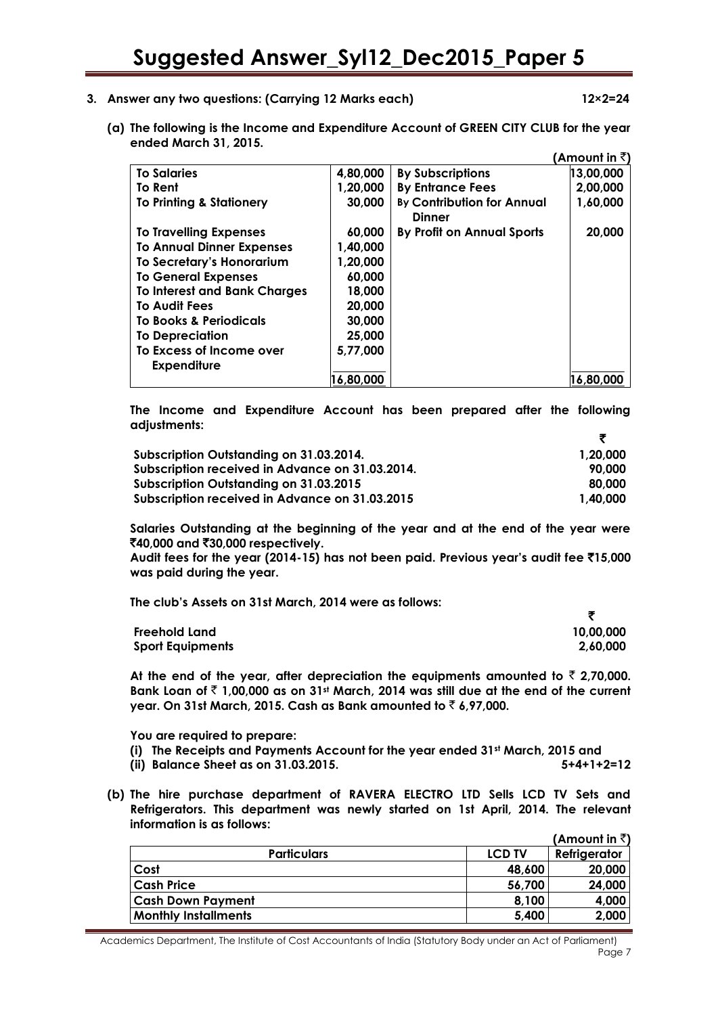- **3. Answer any two questions: (Carrying 12 Marks each) 12×2=24**
	- **(a) The following is the Income and Expenditure Account of GREEN CITY CLUB for the year ended March 31, 2015.**

|                                     |           |                                                    | (Amount in ₹ੋ) |
|-------------------------------------|-----------|----------------------------------------------------|----------------|
| <b>To Salaries</b>                  | 4,80,000  | <b>By Subscriptions</b>                            | 13,00,000      |
| To Rent                             | 1,20,000  | <b>By Entrance Fees</b>                            | 2,00,000       |
| <b>To Printing &amp; Stationery</b> | 30,000    | <b>By Contribution for Annual</b><br><b>Dinner</b> | 1,60,000       |
| To Travelling Expenses              | 60,000    | By Profit on Annual Sports                         | 20,000         |
| <b>To Annual Dinner Expenses</b>    | 1,40,000  |                                                    |                |
| To Secretary's Honorarium           | 1,20,000  |                                                    |                |
| <b>To General Expenses</b>          | 60,000    |                                                    |                |
| <b>To Interest and Bank Charges</b> | 18,000    |                                                    |                |
| <b>To Audit Fees</b>                | 20,000    |                                                    |                |
| <b>To Books &amp; Periodicals</b>   | 30,000    |                                                    |                |
| <b>To Depreciation</b>              | 25,000    |                                                    |                |
| To Excess of Income over            | 5,77,000  |                                                    |                |
| <b>Expenditure</b>                  | 16,80,000 |                                                    | 16,80,000      |
|                                     |           |                                                    |                |

**The Income and Expenditure Account has been prepared after the following adjustments:**

| Subscription Outstanding on 31.03.2014.         | 1.20.000 |
|-------------------------------------------------|----------|
| Subscription received in Advance on 31.03.2014. | 90.000   |
| Subscription Outstanding on 31.03.2015          | 80.000   |
| Subscription received in Advance on 31.03.2015  | 1.40.000 |

**Salaries Outstanding at the beginning of the year and at the end of the year were**  `**40,000 and** `**30,000 respectively.** 

**Audit fees for the year (2014-15) has not been paid. Previous year"s audit fee** `**15,000 was paid during the year.** 

**The club"s Assets on 31st March, 2014 were as follows:** 

| <b>Freehold Land</b>    | 10,00,000 |
|-------------------------|-----------|
| <b>Sport Equipments</b> | 2,60,000  |

At the end of the year, after depreciation the equipments amounted to  $\bar{\tau}$  2,70,000. **Bank Loan of** ` **1,00,000 as on 31st March, 2014 was still due at the end of the current year. On 31st March, 2015. Cash as Bank amounted to** ` **6,97,000.**

**You are required to prepare:** 

- **(i) The Receipts and Payments Account for the year ended 31st March, 2015 and**
- **(ii) Balance Sheet as on 31.03.2015. 5+4+1+2=12**
- **(b) The hire purchase department of RAVERA ELECTRO LTD Sells LCD TV Sets and Refrigerators. This department was newly started on 1st April, 2014. The relevant information is as follows: (Amount in** `**)**

|                             |               | (AMOUNT IN S.) |
|-----------------------------|---------------|----------------|
| <b>Particulars</b>          | <b>LCD TV</b> | Refrigerator   |
| Cost                        | 48,600        | 20,000         |
| <b>Cash Price</b>           | 56,700        | 24,000         |
| <b>Cash Down Payment</b>    | 8,100         | 4,000          |
| <b>Monthly Installments</b> | 5,400         | 2,000          |
|                             |               |                |

Academics Department, The Institute of Cost Accountants of India (Statutory Body under an Act of Parliament) Page 7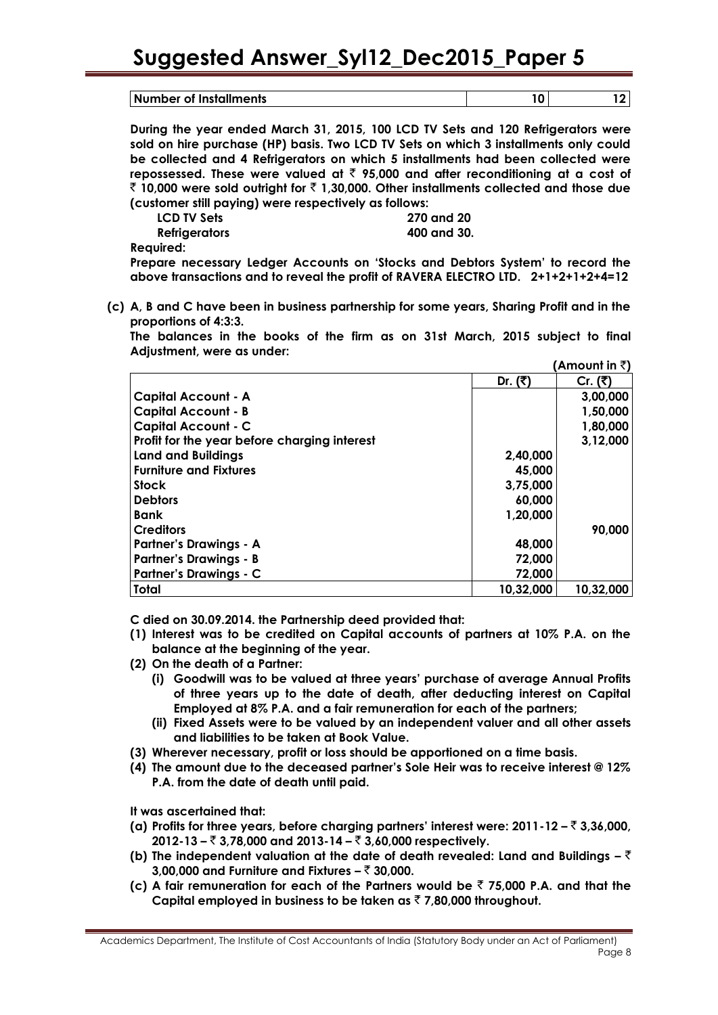| Number of Installments |  |
|------------------------|--|

**During the year ended March 31, 2015, 100 LCD TV Sets and 120 Refrigerators were sold on hire purchase (HP) basis. Two LCD TV Sets on which 3 installments only could be collected and 4 Refrigerators on which 5 installments had been collected were repossessed. These were valued at** ` **95,000 and after reconditioning at a cost of**  ` **10,000 were sold outright for** ` **1,30,000. Other installments collected and those due (customer still paying) were respectively as follows:** 

| LCD TV Sets   |  | 270 and 20  |
|---------------|--|-------------|
| Refrigerators |  | 400 and 30. |

**Required:**

**Prepare necessary Ledger Accounts on "Stocks and Debtors System" to record the above transactions and to reveal the profit of RAVERA ELECTRO LTD. 2+1+2+1+2+4=12**

**(c) A, B and C have been in business partnership for some years, Sharing Profit and in the proportions of 4:3:3.**

**The balances in the books of the firm as on 31st March, 2015 subject to final Adjustment, were as under:**   $\mathbf{A} \cdot \mathbf{A}$ 

|                                              |           | ∶Amount เท <b>₹</b> เ |
|----------------------------------------------|-----------|-----------------------|
|                                              | Dr. (₹)   | Cr. (₹)               |
| <b>Capital Account - A</b>                   |           | 3,00,000              |
| <b>Capital Account - B</b>                   |           | 1,50,000              |
| <b>Capital Account - C</b>                   |           | 1,80,000              |
| Profit for the year before charging interest |           | 3,12,000              |
| Land and Buildings                           | 2,40,000  |                       |
| Furniture and Fixtures                       | 45,000    |                       |
| <b>Stock</b>                                 | 3,75,000  |                       |
| <b>Debtors</b>                               | 60,000    |                       |
| <b>Bank</b>                                  | 1,20,000  |                       |
| Creditors                                    |           | 90,000                |
| <b>Partner's Drawings - A</b>                | 48,000    |                       |
| <b>Partner's Drawings - B</b>                | 72,000    |                       |
| <b>Partner's Drawings - C</b>                | 72,000    |                       |
| Total                                        | 10,32,000 | 10,32,000             |

**C died on 30.09.2014. the Partnership deed provided that:** 

- **(1) Interest was to be credited on Capital accounts of partners at 10% P.A. on the balance at the beginning of the year.**
- **(2) On the death of a Partner:**
	- **(i) Goodwill was to be valued at three years" purchase of average Annual Profits of three years up to the date of death, after deducting interest on Capital Employed at 8% P.A. and a fair remuneration for each of the partners;**
	- **(ii) Fixed Assets were to be valued by an independent valuer and all other assets and liabilities to be taken at Book Value.**
- **(3) Wherever necessary, profit or loss should be apportioned on a time basis.**
- **(4) The amount due to the deceased partner"s Sole Heir was to receive interest @ 12% P.A. from the date of death until paid.**

**It was ascertained that:**

- **(a) Profits for three years, before charging partners" interest were: 2011-12 –** ` **3,36,000, 2012-13 –** ` **3,78,000 and 2013-14 –** ` **3,60,000 respectively.**
- **(b) The independent valuation at the date of death revealed: Land and Buildings –** ` **3,00,000 and Furniture and Fixtures –** ` **30,000.**
- **(c) A fair remuneration for each of the Partners would be** ` **75,000 P.A. and that the Capital employed in business to be taken as** ` **7,80,000 throughout.**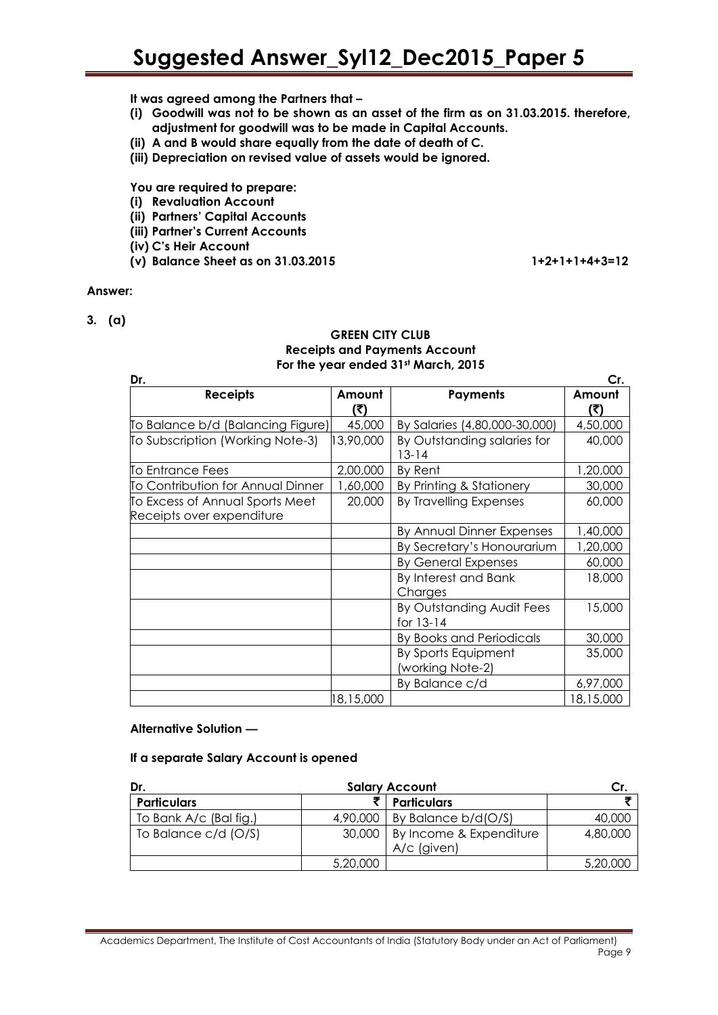**It was agreed among the Partners that –**

- **(i) Goodwill was not to be shown as an asset of the firm as on 31.03.2015. therefore, adjustment for goodwill was to be made in Capital Accounts.**
- **(ii) A and B would share equally from the date of death of C.**
- **(iii) Depreciation on revised value of assets would be ignored.**

**You are required to prepare:**

- **(i) Revaluation Account**
- **(ii) Partners" Capital Accounts**
- **(iii) Partner"s Current Accounts**
- **(iv) C"s Heir Account**
- **(v) Balance Sheet as on 31.03.2015 1+2+1+1+4+3=12**

# **Answer:**

**3. (a)**

#### **GREEN CITY CLUB Receipts and Payments Account For the year ended 31st March, 2015**

| Dr.                                                          |               |                                          | Cr.           |
|--------------------------------------------------------------|---------------|------------------------------------------|---------------|
| <b>Receipts</b>                                              | Amount<br>(₹) | <b>Payments</b>                          | Amount<br>(₹) |
| To Balance b/d (Balancing Figure)                            | 45,000        | By Salaries (4,80,000-30,000)            | 4,50,000      |
| To Subscription (Working Note-3)                             | 3,90,000      | By Outstanding salaries for<br>$13 - 14$ | 40,000        |
| To Entrance Fees                                             | 2,00,000      | By Rent                                  | 1,20,000      |
| To Contribution for Annual Dinner                            | 1,60,000      | By Printing & Stationery                 | 30,000        |
| To Excess of Annual Sports Meet<br>Receipts over expenditure | 20,000        | By Travelling Expenses                   | 60,000        |
|                                                              |               | By Annual Dinner Expenses                | 1,40,000      |
|                                                              |               | By Secretary's Honourarium               | 1,20,000      |
|                                                              |               | <b>By General Expenses</b>               | 60,000        |
|                                                              |               | By Interest and Bank<br>Charges          | 18,000        |
|                                                              |               | By Outstanding Audit Fees<br>for 13-14   | 15,000        |
|                                                              |               | By Books and Periodicals                 | 30,000        |
|                                                              |               | By Sports Equipment<br>(working Note-2)  | 35,000        |
|                                                              |               | By Balance c/d                           | 6,97,000      |
|                                                              | 18,15,000     |                                          | 18,15,000     |

#### **Alternative Solution —**

# **If a separate Salary Account is opened**

| Dr.                    |          | <b>Salary Account</b>                           |          |  |
|------------------------|----------|-------------------------------------------------|----------|--|
| <b>Particulars</b>     |          | <b>Particulars</b>                              |          |  |
| To Bank A/c (Bal fig.) | 4,90,000 | By Balance b/d(O/S)                             | 40,000   |  |
| To Balance c/d (O/S)   |          | 30,000   By Income & Expenditure<br>A/c (given) | 4,80,000 |  |
|                        | 5,20,000 |                                                 | 5,20,000 |  |

Academics Department, The Institute of Cost Accountants of India (Statutory Body under an Act of Parliament) Page 9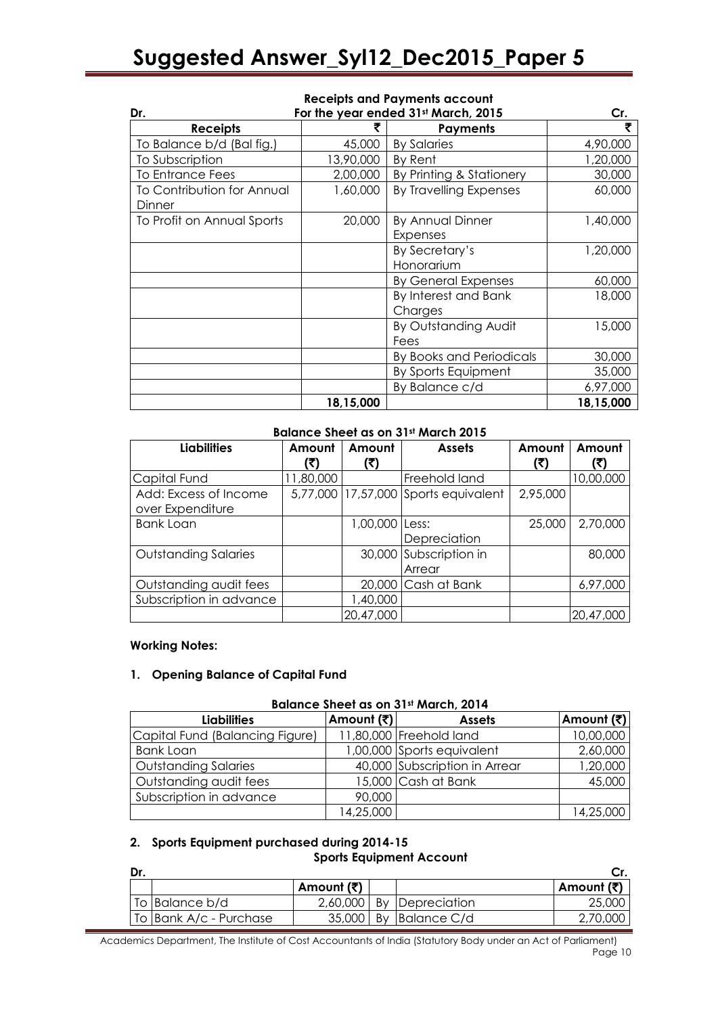# **Receipts and Payments account**

| Dr.                               | For the year ended 31st March, 2015 |                            |           |  |  |
|-----------------------------------|-------------------------------------|----------------------------|-----------|--|--|
| <b>Receipts</b>                   | ₹                                   | <b>Payments</b>            | ₹         |  |  |
| To Balance b/d (Bal fig.)         | 45,000                              | <b>By Salaries</b>         | 4,90,000  |  |  |
| To Subscription                   | 13,90,000                           | By Rent                    | 1,20,000  |  |  |
| <b>To Entrance Fees</b>           | 2,00,000                            | By Printing & Stationery   | 30,000    |  |  |
| <b>To Contribution for Annual</b> | 1,60,000                            | By Travelling Expenses     | 60,000    |  |  |
| Dinner                            |                                     |                            |           |  |  |
| To Profit on Annual Sports        | 20,000                              | <b>By Annual Dinner</b>    | 1,40,000  |  |  |
|                                   |                                     | Expenses                   |           |  |  |
|                                   |                                     | By Secretary's             | 1,20,000  |  |  |
|                                   |                                     | Honorarium                 |           |  |  |
|                                   |                                     | <b>By General Expenses</b> | 60,000    |  |  |
|                                   |                                     | By Interest and Bank       | 18,000    |  |  |
|                                   |                                     | Charges                    |           |  |  |
|                                   |                                     | By Outstanding Audit       | 15,000    |  |  |
|                                   |                                     | Fees                       |           |  |  |
|                                   |                                     | By Books and Periodicals   | 30,000    |  |  |
|                                   |                                     | By Sports Equipment        | 35,000    |  |  |
|                                   |                                     | By Balance c/d             | 6,97,000  |  |  |
|                                   | 18,15,000                           |                            | 18,15,000 |  |  |

#### **Balance Sheet as on 31st March 2015**

| <b>Liabilities</b>          | Amount    | Amount         | <b>Assets</b>                        | Amount   | Amount    |
|-----------------------------|-----------|----------------|--------------------------------------|----------|-----------|
|                             | (र)       | (₹)            |                                      | (₹)      | (₹)       |
| Capital Fund                | 11,80,000 |                | Freehold land                        |          | 10,00,000 |
| Add: Excess of Income       |           |                | 5,77,000 17,57,000 Sports equivalent | 2,95,000 |           |
| over Expenditure            |           |                |                                      |          |           |
| <b>Bank Loan</b>            |           | 1,00,000 Less: |                                      | 25,000   | 2,70,000  |
|                             |           |                | Depreciation                         |          |           |
| <b>Outstanding Salaries</b> |           |                | 30,000 Subscription in               |          | 80,000    |
|                             |           |                | Arrear                               |          |           |
| Outstanding audit fees      |           |                | 20,000 Cash at Bank                  |          | 6,97,000  |
| Subscription in advance     |           | 1,40,000       |                                      |          |           |
|                             |           | 20,47,000      |                                      |          | 20,47,000 |

#### **Working Notes:**

#### **1. Opening Balance of Capital Fund**

#### **Balance Sheet as on 31st March, 2014**

| <b>Liabilities</b>              | Amount (₹) | <b>Assets</b>                 | Amount (₹) |
|---------------------------------|------------|-------------------------------|------------|
| Capital Fund (Balancing Figure) |            | 11,80,000 Freehold land       | 10,00,000  |
| <b>Bank Loan</b>                |            | 1,00,000 Sports equivalent    | 2,60,000   |
| <b>Outstanding Salaries</b>     |            | 40,000 Subscription in Arrear | 1,20,000   |
| Outstanding audit fees          |            | 15,000 Cash at Bank           | 45,000     |
| Subscription in advance         | 90,000     |                               |            |
|                                 | 14,25,000  |                               | 14,25,000  |

# **2. Sports Equipment purchased during 2014-15**

# **Sports Equipment Account**

| Dr. |                        |            |                          |            |
|-----|------------------------|------------|--------------------------|------------|
|     |                        | Amount (₹) |                          | Amount (₹) |
|     | To Balance b/d         |            | 2,60,000 By Depreciation | 25,000     |
|     | To Bank A/c - Purchase |            | $35,000$ By Balance C/d  | 2,70,000   |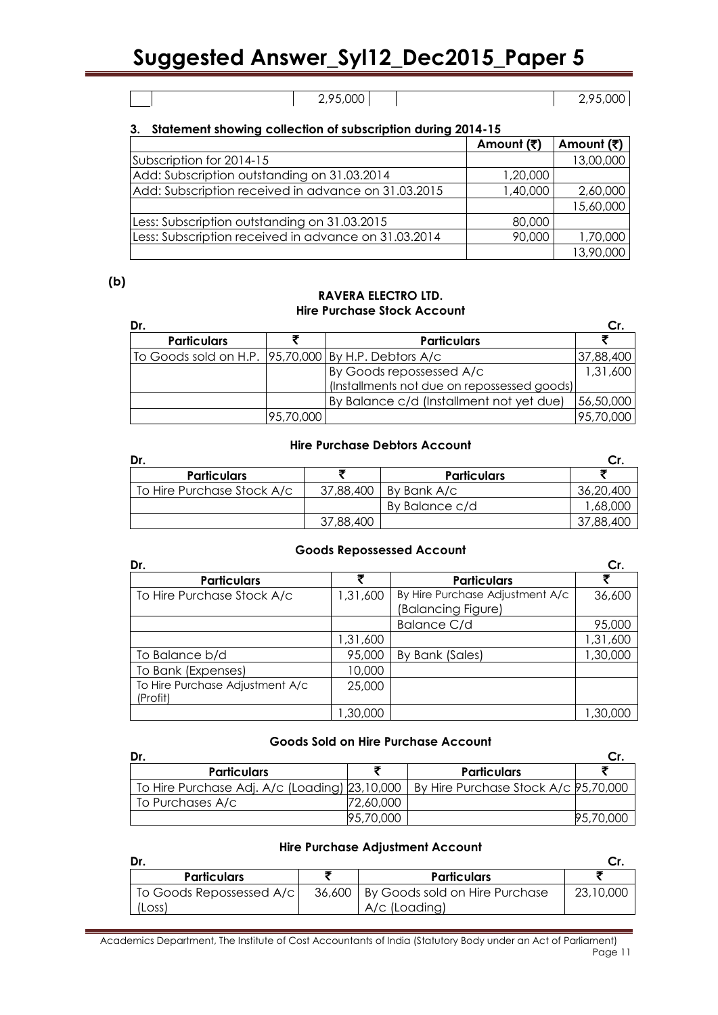# 2,95,000 2,95,000

# **3. Statement showing collection of subscription during 2014-15**

|                                                      | Amount (₹) | Amount (₹) |
|------------------------------------------------------|------------|------------|
| Subscription for 2014-15                             |            | 13,00,000  |
| Add: Subscription outstanding on 31.03.2014          | 1,20,000   |            |
| Add: Subscription received in advance on 31.03.2015  | 1,40,000   | 2,60,000   |
|                                                      |            | 15,60,000  |
| Less: Subscription outstanding on 31.03.2015         | 80,000     |            |
| Less: Subscription received in advance on 31.03.2014 | 90,000     | 1,70,000   |
|                                                      |            | 13,90,000  |

# **(b)**

#### **RAVERA ELECTRO LTD. Hire Purchase Stock Account**

| Dr.                                                     |           |                                             |           |
|---------------------------------------------------------|-----------|---------------------------------------------|-----------|
| <b>Particulars</b>                                      |           | <b>Particulars</b>                          |           |
| To Goods sold on H.P.   95,70,000   By H.P. Debtors A/c |           |                                             | 37,88,400 |
|                                                         |           | By Goods repossessed A/c                    | 1,31,600  |
|                                                         |           | (Installments not due on repossessed goods) |           |
|                                                         |           | By Balance c/d (Installment not yet due)    | 56,50,000 |
|                                                         | 95,70,000 |                                             | 95,70,000 |

# **Hire Purchase Debtors Account**

| Dr.                        |           |                    |           |
|----------------------------|-----------|--------------------|-----------|
| <b>Particulars</b>         |           | <b>Particulars</b> |           |
| To Hire Purchase Stock A/c | 37,88,400 | By Bank A/c        | 36,20,400 |
|                            |           | By Balance c/d     | 58,000, ' |
|                            | 37,88,400 |                    | 37,88,400 |

#### **Goods Repossessed Account**

| Dr.                             |          |                                 | Cr.       |
|---------------------------------|----------|---------------------------------|-----------|
| <b>Particulars</b>              |          | <b>Particulars</b>              |           |
| To Hire Purchase Stock A/c      | 1,31,600 | By Hire Purchase Adjustment A/c | 36,600    |
|                                 |          | (Balancing Figure)              |           |
|                                 |          | Balance C/d                     | 95,000    |
|                                 | 1,31,600 |                                 | 1,31,600  |
| To Balance b/d                  | 95,000   | By Bank (Sales)                 | 1,30,000  |
| To Bank (Expenses)              | 10,000   |                                 |           |
| To Hire Purchase Adjustment A/c | 25,000   |                                 |           |
| (Profit)                        |          |                                 |           |
|                                 | ,30,000  |                                 | 30,000, ا |

#### **Goods Sold on Hire Purchase Account**

| Dr.                                                                                  |           |                    |           |
|--------------------------------------------------------------------------------------|-----------|--------------------|-----------|
| <b>Particulars</b>                                                                   |           | <b>Particulars</b> |           |
| To Hire Purchase Adj. A/c (Loading) 23,10,000   By Hire Purchase Stock A/c 95,70,000 |           |                    |           |
| To Purchases A/c                                                                     | 72.60.000 |                    |           |
|                                                                                      | 95,70,000 |                    | 95,70,000 |

### **Hire Purchase Adjustment Account**

| Dr.                                  |                                                          |           |
|--------------------------------------|----------------------------------------------------------|-----------|
| <b>Particulars</b>                   | <b>Particulars</b>                                       |           |
| To Goods Repossessed A/c  <br>(Loss) | 36,600   By Goods sold on Hire Purchase<br>A/c (Loading) | 23,10,000 |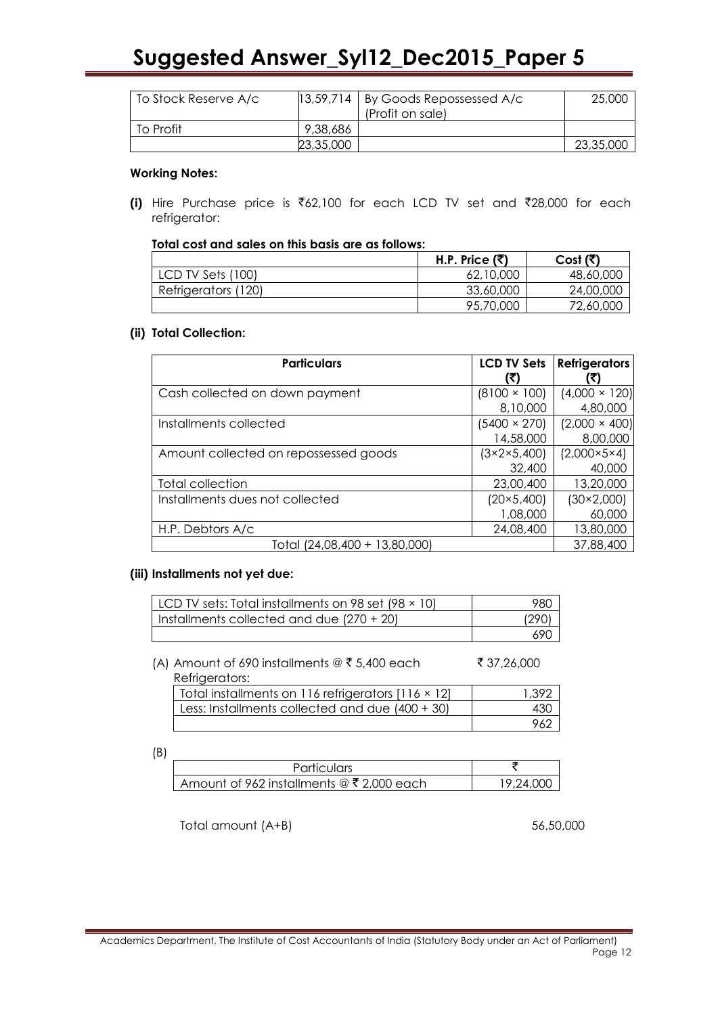| To Stock Reserve A/c |           | $ 13,59,714 $ By Goods Repossessed A/c<br>(Profit on sale) | 25,000    |
|----------------------|-----------|------------------------------------------------------------|-----------|
| To Profit            | 9,38,686  |                                                            |           |
|                      | 23,35,000 |                                                            | 23,35,000 |

### **Working Notes:**

**(i)** Hire Purchase price is  $\bar{\mathfrak{e}}$ 62,100 for each LCD TV set and  $\bar{\mathfrak{e}}$ 28,000 for each refrigerator:

|  |  |  |  |  |  |  |  |  | Total cost and sales on this basis are as follows: |
|--|--|--|--|--|--|--|--|--|----------------------------------------------------|
|--|--|--|--|--|--|--|--|--|----------------------------------------------------|

|                     | H.P. Price $(3)$ | Cost (र)  |
|---------------------|------------------|-----------|
| LCD TV Sets (100)   | 62,10,000        | 48,60,000 |
| Refrigerators (120) | 33,60,000        | 24,00,000 |
|                     | 95,70,000        | 72,60,000 |

# **(ii) Total Collection:**

| <b>Particulars</b>                    | <b>LCD TV Sets</b>  | <b>Refrigerators</b>    |
|---------------------------------------|---------------------|-------------------------|
|                                       | K)                  |                         |
| Cash collected on down payment        | $(8100 \times 100)$ | $(4,000 \times 120)$    |
|                                       | 8,10,000            | 4,80,000                |
| Installments collected                | $(5400 \times 270)$ | $(2,000 \times 400)$    |
|                                       | 14,58,000           | 8,00,000                |
| Amount collected on repossessed goods | (3×2×5,400)         | $(2,000\times5\times4)$ |
|                                       | 32,400              | 40,000                  |
| Total collection                      | 23,00,400           | 13,20,000               |
| Installments dues not collected       | $(20 \times 5,400)$ | $(30\times2,000)$       |
|                                       | 1,08,000            | 60,000                  |
| H.P. Debtors A/c                      | 24,08,400           | 13,80,000               |
| Total (24,08,400 + 13,80,000)         |                     | 37,88,400               |

#### **(iii) Installments not yet due:**

| LCD TV sets: Total installments on 98 set (98 $\times$ 10) | 98C  |
|------------------------------------------------------------|------|
| Installments collected and due $(270 + 20)$                | 1290 |
|                                                            | .69G |

(A) Amount of 690 installments  $@ \t35,400$  each  $$37,26,000$ Refrigerators:

| Total installments on 116 refrigerators [116 × 12] | 1.392 |
|----------------------------------------------------|-------|
| Less: Installments collected and due (400 + 30)    | 430   |
|                                                    | 962   |

(B)

| <b>Particulars</b>                                  |           |
|-----------------------------------------------------|-----------|
| Amount of 962 installments @ $\bar{\xi}$ 2,000 each | 19 24 000 |

Total amount (A+B) 56,50,000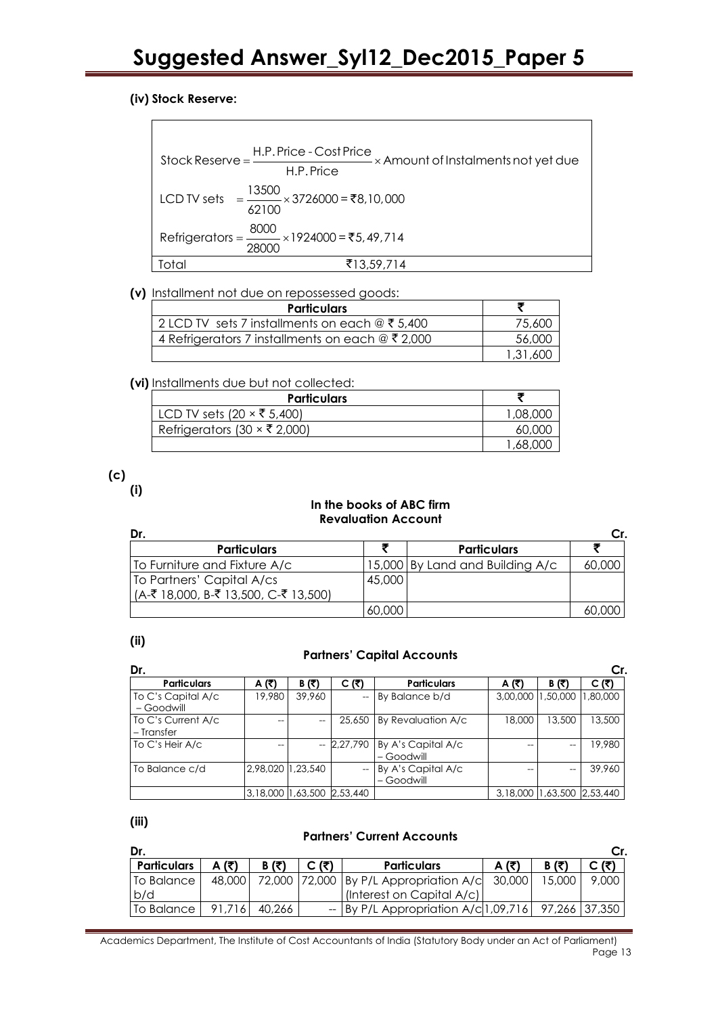# **(iv) Stock Reserve:**

 $\blacksquare$ 

| $Stock Reserve = \frac{H.P. Price - Cost Price}{\times Amount of Instantments not yet due}$ |  |
|---------------------------------------------------------------------------------------------|--|
| H.P. Price                                                                                  |  |
| LCD TV sets = $\frac{13500}{10000}$ × 3726000 = ₹8,10,000<br>62100                          |  |
| Refrigerators = $\frac{8000}{28000}$ × 1924000 = ₹5,49,714                                  |  |
| ₹13,59,714<br>Total                                                                         |  |

# **(v)** Installment not due on repossessed goods:

| <b>Particulars</b>                                   |          |
|------------------------------------------------------|----------|
| 2 LCD TV sets 7 installments on each $@F5,400$       | 75,600   |
| 4 Refrigerators 7 installments on each $@ \xi 2,000$ | 56,000   |
|                                                      | 1,31,600 |

# **(vi)** Installments due but not collected:

| <b>Particulars</b>                  |          |
|-------------------------------------|----------|
| LCD TV sets (20 $\times$ ₹ 5,400)   | 1,08,000 |
| Refrigerators (30 $\times$ ₹ 2,000) | 60,000   |
|                                     | 1,68,000 |

**(c)**

**(i)**

#### **In the books of ABC firm Revaluation Account**

| Dr.                                     |        |                                 | Cr.    |
|-----------------------------------------|--------|---------------------------------|--------|
| <b>Particulars</b>                      |        | <b>Particulars</b>              |        |
| To Furniture and Fixture A/c            |        | 15,000 By Land and Building A/c | 60.00C |
| To Partners' Capital A/cs               | 45,000 |                                 |        |
| $(A-$ ₹ 18,000, B-₹ 13,500, C-₹ 13,500) |        |                                 |        |
|                                         | 60,000 |                                 |        |

# **(ii)**

# **Partners" Capital Accounts**

| Dr.                              |                   |                            |                          |                                  |          |                            | Cr.      |
|----------------------------------|-------------------|----------------------------|--------------------------|----------------------------------|----------|----------------------------|----------|
| <b>Particulars</b>               | A (₹)             | $B(\vec{x})$               | C (₹)                    | <b>Particulars</b>               | A $(3)$  | $B(\bar{z})$               | (۲       |
| To C's Capital A/c<br>- Goodwill | 19,980            | 39,960                     | --                       | By Balance b/d                   | 3,00,000 | 1,50,000                   | 1,80,000 |
| To C's Current A/c<br>– Transfer | $\hspace{0.05cm}$ | --                         | 25,650                   | By Revaluation A/c               | 18,000   | 13,500                     | 13,500   |
| To C's Heir A/c                  | --                |                            | 2,27,790                 | By A's Capital A/c<br>– Goodwill |          | --                         | 19,980   |
| To Balance c/d                   | 2,98,020 1,23,540 |                            | $\overline{\phantom{a}}$ | By A's Capital A/c<br>- Goodwill |          | --                         | 39,960   |
|                                  |                   | 3,18,000 1,63,500 2,53,440 |                          |                                  |          | 3,18,000 1,63,500 2,53,440 |          |

**(iii)**

# **Partners" Current Accounts**

| (₹)                  | $B(\overline{5})$ | C (₹) | <b>Particulars</b> |                           | R (7)                                         | C (ቻነ                                                 |
|----------------------|-------------------|-------|--------------------|---------------------------|-----------------------------------------------|-------------------------------------------------------|
| 48,000               |                   |       |                    |                           | 15.000                                        | 9,000                                                 |
|                      |                   |       |                    |                           |                                               |                                                       |
| 91,716<br>To Balance | 40,266            |       |                    |                           |                                               |                                                       |
|                      |                   |       |                    | (Interest on Capital A/c) | 72,000 72,000 By P/L Appropriation A/c 30,000 | $-$ By P/L Appropriation A/c 1,09,716   97,266 37,350 |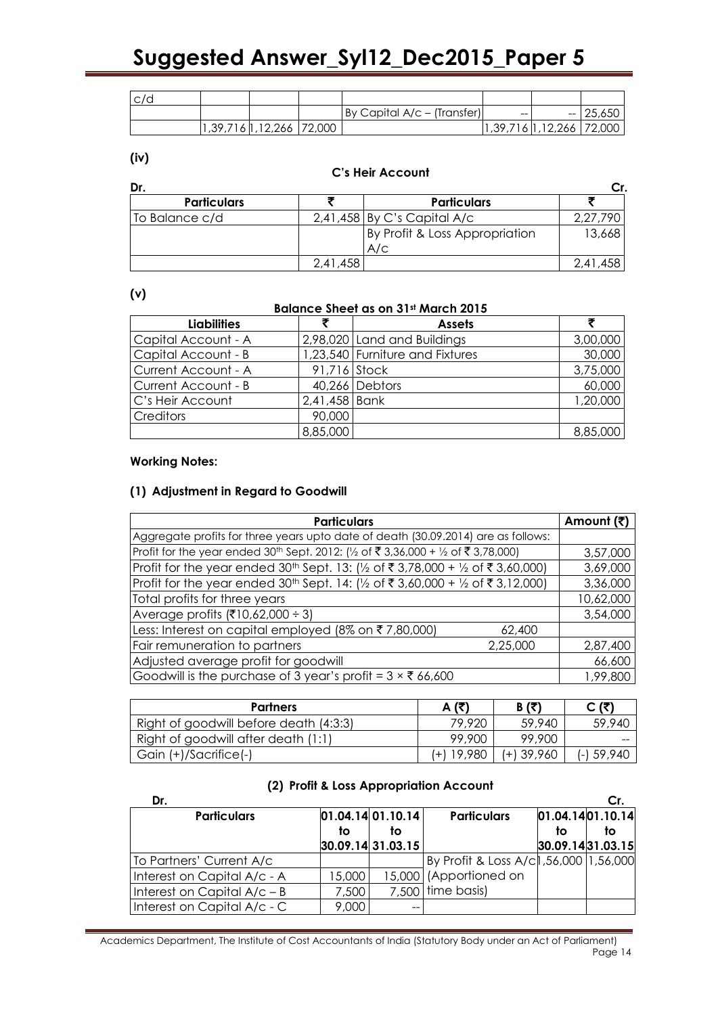| c/d |                            |                             |    |                                                    |            |
|-----|----------------------------|-----------------------------|----|----------------------------------------------------|------------|
|     |                            | By Capital A/c – (Transfer) | -- |                                                    | $- 25,650$ |
|     | 1,39,716 1,12,266   72,000 |                             |    | $\vert 1,39,716 \vert 1,12,266 \vert 72,000 \vert$ |            |

#### **(iv)**

#### **C"s Heir Account**

| Dr.                |          |                                       |          |
|--------------------|----------|---------------------------------------|----------|
| <b>Particulars</b> |          | <b>Particulars</b>                    |          |
| To Balance c/d     |          | $2,41,458$ By C's Capital A/c         | 2,27,790 |
|                    |          | By Profit & Loss Appropriation<br>A/c | 13,668   |
|                    | 2.41.458 |                                       | 2,41,458 |

#### **(v)**

#### **Balance Sheet as on 31st March 2015**

| <b>Liabilities</b>  |               | <b>Assets</b>                   |          |
|---------------------|---------------|---------------------------------|----------|
| Capital Account - A |               | 2,98,020 Land and Buildings     | 3,00,000 |
| Capital Account - B |               | 1,23,540 Furniture and Fixtures | 30,000   |
| Current Account - A | 91,716 Stock  |                                 | 3,75,000 |
| Current Account - B |               | 40,266 Debtors                  | 60,000   |
| C's Heir Account    | 2,41,458 Bank |                                 | 1,20,000 |
| <b>Creditors</b>    | 90,000        |                                 |          |
|                     | 8,85,000      |                                 | 8,85,000 |

# **Working Notes:**

# **(1) Adjustment in Regard to Goodwill**

| <b>Particulars</b>                                                                           |          | Amount (₹) |
|----------------------------------------------------------------------------------------------|----------|------------|
| Aggregate profits for three years upto date of death (30.09.2014) are as follows:            |          |            |
| Profit for the year ended 30 <sup>th</sup> Sept. 2012: (1/2 of ₹3,36,000 + 1/2 of ₹3,78,000) |          | 3,57,000   |
| Profit for the year ended 30 <sup>th</sup> Sept. 13: (1/2 of ₹3,78,000 + 1/2 of ₹3,60,000)   |          | 3,69,000   |
| Profit for the year ended 30 <sup>th</sup> Sept. 14: (½ of ₹3,60,000 + ½ of ₹3,12,000)       |          | 3,36,000   |
| Total profits for three years                                                                |          | 10,62,000  |
| Average profits (₹10,62,000 ÷ 3)                                                             |          | 3,54,000   |
| Less: Interest on capital employed (8% on ₹7,80,000)                                         | 62,400   |            |
| Fair remuneration to partners                                                                | 2,25,000 | 2,87,400   |
| Adjusted average profit for goodwill                                                         |          | 66,600     |
| Goodwill is the purchase of 3 year's profit = $3 \times$ ₹ 66,600                            |          | 1,99,800   |

| <b>Partners</b>                        | A (₹)      | $B(\bar{z})$ | C (ই)      |
|----------------------------------------|------------|--------------|------------|
| Right of goodwill before death (4:3:3) | 79,920     | 59,940       | 59,940     |
| Right of goodwill after death (1:1)    | 99,900     | 99,900       |            |
| Gain (+)/Sacrifice(-)                  | (+) 19,980 | $(+)$ 39,960 | (-) 59,940 |

# **(2) Profit & Loss Appropriation Account**

| Dr.                           |        |                   |                                          |                  | Cr.              |
|-------------------------------|--------|-------------------|------------------------------------------|------------------|------------------|
| <b>Particulars</b>            |        | 01.04.14 01.10.14 | <b>Particulars</b>                       |                  | 01.04.1401.10.14 |
|                               | to     | tο                |                                          | to               | to               |
|                               |        | 30.09.14 31.03.15 |                                          | 30.09.1431.03.15 |                  |
| To Partners' Current A/c      |        |                   | By Profit & Loss A/cl, 56,000   1,56,000 |                  |                  |
| Interest on Capital A/c - A   | 15,000 |                   | 15,000 (Apportioned on                   |                  |                  |
| Interest on Capital $A/c - B$ | 7,500  |                   | 7,500 time basis)                        |                  |                  |
| Interest on Capital A/c - C   | 9,000  | --                |                                          |                  |                  |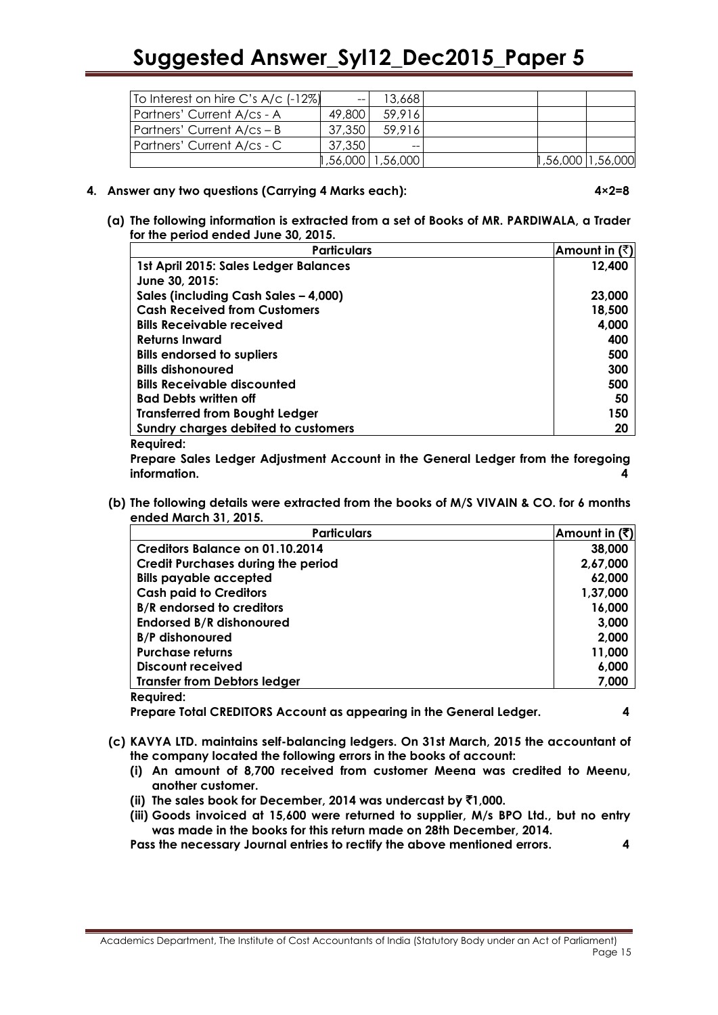| To Interest on hire C's A/c (-12%) | $\hspace{0.05cm}$ – $\hspace{0.05cm}$ | 13,668             |                     |  |
|------------------------------------|---------------------------------------|--------------------|---------------------|--|
| Partners' Current A/cs - A         | 49,800                                | 59,916             |                     |  |
| Partners' Current $A/cs - B$       | 37,350                                | 59.916             |                     |  |
| Partners' Current A/cs - C         | 37.350                                | $- -$              |                     |  |
|                                    |                                       | 56,000   1,56,000, | 1,56,000   1,56,000 |  |

#### **4. Answer any two questions (Carrying 4 Marks each): 4×2=8**

**(a) The following information is extracted from a set of Books of MR. PARDIWALA, a Trader for the period ended June 30, 2015.**

| <b>Particulars</b>                    | Amount in $(\bar{z})$ |
|---------------------------------------|-----------------------|
| 1st April 2015: Sales Ledger Balances | 12,400                |
| June 30, 2015:                        |                       |
| Sales (including Cash Sales - 4,000)  | 23,000                |
| <b>Cash Received from Customers</b>   | 18,500                |
| <b>Bills Receivable received</b>      | 4,000                 |
| <b>Returns Inward</b>                 | 400                   |
| <b>Bills endorsed to supliers</b>     | 500                   |
| <b>Bills dishonoured</b>              | 300                   |
| <b>Bills Receivable discounted</b>    | 500                   |
| <b>Bad Debts written off</b>          | 50                    |
| <b>Transferred from Bought Ledger</b> | 150                   |
| Sundry charges debited to customers   | 20                    |
| 8. <del>.</del>                       |                       |

#### **Required:**

**Prepare Sales Ledger Adjustment Account in the General Ledger from the foregoing information. 4**

**(b) The following details were extracted from the books of M/S VIVAIN & CO. for 6 months ended March 31, 2015.**

| <b>Particulars</b>                        | Amount in $(3)$ |
|-------------------------------------------|-----------------|
| Creditors Balance on 01.10.2014           | 38,000          |
| <b>Credit Purchases during the period</b> | 2,67,000        |
| <b>Bills payable accepted</b>             | 62,000          |
| <b>Cash paid to Creditors</b>             | 1,37,000        |
| <b>B/R</b> endorsed to creditors          | 16,000          |
| <b>Endorsed B/R dishonoured</b>           | 3,000           |
| <b>B/P</b> dishonoured                    | 2,000           |
| <b>Purchase returns</b>                   | 11,000          |
| Discount received                         | 6,000           |
| <b>Transfer from Debtors ledger</b>       | 7,000           |
| <b>Reauired:</b>                          |                 |

**Prepare Total CREDITORS Account as appearing in the General Ledger. 4**

- **(c) KAVYA LTD. maintains self-balancing ledgers. On 31st March, 2015 the accountant of the company located the following errors in the books of account:**
	- **(i) An amount of 8,700 received from customer Meena was credited to Meenu, another customer.**
	- **(ii) The sales book for December, 2014 was undercast by** `**1,000.**
	- **(iii) Goods invoiced at 15,600 were returned to supplier, M/s BPO Ltd., but no entry was made in the books for this return made on 28th December, 2014.**

**Pass the necessary Journal entries to rectify the above mentioned errors. 4**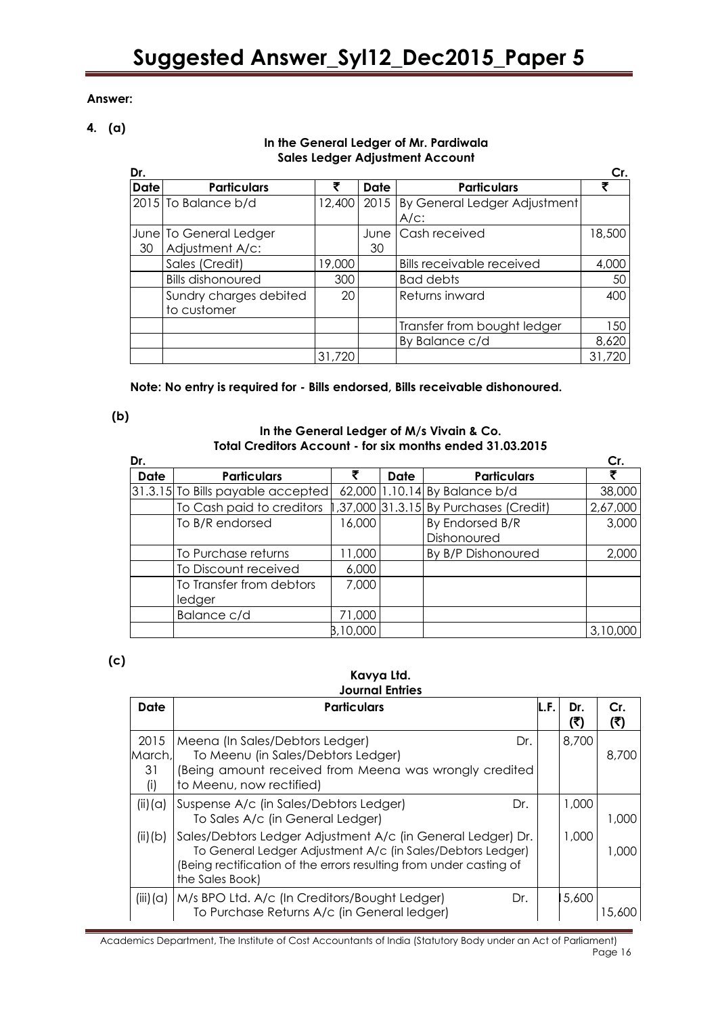# **Answer:**

**4. (a)**

# **In the General Ledger of Mr. Pardiwala Sales Ledger Adjustment Account**

| Dr.         |                          |        |             |                                  | Cr.    |
|-------------|--------------------------|--------|-------------|----------------------------------|--------|
| <b>Date</b> | <b>Particulars</b>       | ₹      | <b>Date</b> | <b>Particulars</b>               |        |
|             | $2015$ To Balance b/d    | 12,400 | 2015        | By General Ledger Adjustment     |        |
|             |                          |        |             | $A/C$ :                          |        |
|             | June To General Ledger   |        | June I      | Cash received                    | 18,500 |
| 30          | Adjustment A/c:          |        | 30          |                                  |        |
|             | Sales (Credit)           | 19,000 |             | <b>Bills receivable received</b> | 4,000  |
|             | <b>Bills dishonoured</b> | 300    |             | Bad debts                        | 50     |
|             | Sundry charges debited   | 20     |             | Returns inward                   | 400    |
|             | to customer              |        |             |                                  |        |
|             |                          |        |             | Transfer from bought ledger      | 150    |
|             |                          |        |             | By Balance c/d                   | 8,620  |
|             |                          | 31,720 |             |                                  | 31,720 |

**Note: No entry is required for - Bills endorsed, Bills receivable dishonoured.**

**(b)**

# **In the General Ledger of M/s Vivain & Co. Total Creditors Account - for six months ended 31.03.2015**

| Dr.  |                                    |          |      |                                        | Cr.      |
|------|------------------------------------|----------|------|----------------------------------------|----------|
| Date | <b>Particulars</b>                 |          | Date | <b>Particulars</b>                     |          |
|      | 31.3.15 To Bills payable accepted  |          |      | 62,000 1.10.14 By Balance b/d          | 38,000   |
|      | To Cash paid to creditors          |          |      | 1,37,000 31.3.15 By Purchases (Credit) | 2,67,000 |
|      | To B/R endorsed                    | 16,000   |      | By Endorsed B/R<br>Dishonoured         | 3,000    |
|      | To Purchase returns                | 11,000   |      | By B/P Dishonoured                     | 2,000    |
|      | To Discount received               | 6,000    |      |                                        |          |
|      | To Transfer from debtors<br>ledger | 7,000    |      |                                        |          |
|      | Balance c/d                        | 71,000   |      |                                        |          |
|      |                                    | B,10,000 |      |                                        | 3,10,000 |

**(c)**

#### **Kavya Ltd. Journal Entries**

| Date                        | <b>Particulars</b>                                                                                                                                                                                                 | L.F.I | Dr.<br>(₹) | Cr.<br>(3) |
|-----------------------------|--------------------------------------------------------------------------------------------------------------------------------------------------------------------------------------------------------------------|-------|------------|------------|
| 2015<br>March,<br>31<br>(i) | Meena (In Sales/Debtors Ledger)<br>Dr.<br>To Meenu (in Sales/Debtors Ledger)<br>(Being amount received from Meena was wrongly credited<br>to Meenu, now rectified)                                                 |       | 8,700      | 8.700      |
| (ii)(a)                     | Suspense A/c (in Sales/Debtors Ledger)<br>Dr.<br>To Sales A/c (in General Ledger)                                                                                                                                  |       | 1,000      | 1,000      |
| (ii)(b)                     | Sales/Debtors Ledger Adjustment A/c (in General Ledger) Dr.<br>To General Ledger Adjustment A/c (in Sales/Debtors Ledger)<br>(Being rectification of the errors resulting from under casting of<br>the Sales Book) |       | 1,000      | 1,000      |
| (iii) (a)                   | M/s BPO Ltd. A/c (In Creditors/Bought Ledger)<br>Dr.<br>To Purchase Returns A/c (in General ledger)                                                                                                                |       | 5,600      |            |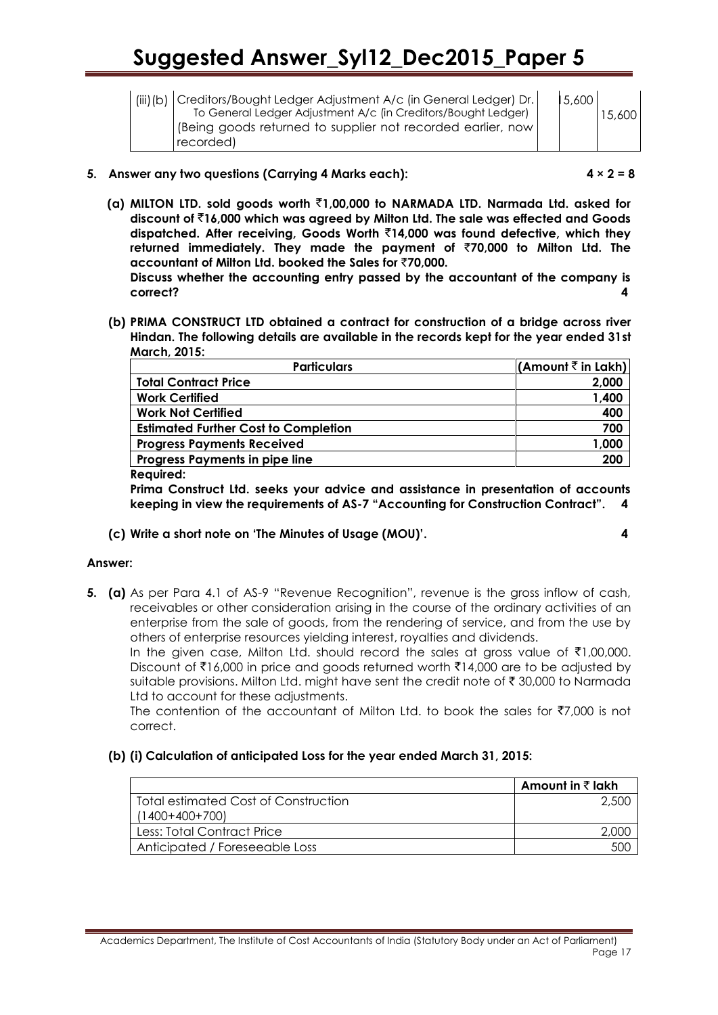| (iii)(b)   Creditors/Bought Ledger Adjustment A/c (in General Ledger) Dr. |
|---------------------------------------------------------------------------|
| To General Ledger Adjustment A/c (in Creditors/Bought Ledger)             |
| (Being goods returned to supplier not recorded earlier, now)              |
| recorded)                                                                 |

15,600 15,600

# **5. Answer any two questions (Carrying 4 Marks each): 4 × 2 = 8**

**(a) MILTON LTD. sold goods worth** `**1,00,000 to NARMADA LTD. Narmada Ltd. asked for discount of** `**16,000 which was agreed by Milton Ltd. The sale was effected and Goods dispatched. After receiving, Goods Worth** `**14,000 was found defective, which they returned immediately. They made the payment of** `**70,000 to Milton Ltd. The accountant of Milton Ltd. booked the Sales for** `**70,000.** 

**Discuss whether the accounting entry passed by the accountant of the company is correct? 4**

**(b) PRIMA CONSTRUCT LTD obtained a contract for construction of a bridge across river Hindan. The following details are available in the records kept for the year ended 31st March, 2015:**

| <b>Particulars</b>                          | $ $ (Amount $\bar{\bar{\tau}}$ in Lakh) |
|---------------------------------------------|-----------------------------------------|
| <b>Total Contract Price</b>                 | 2,000                                   |
| <b>Work Certified</b>                       | 1,400                                   |
| <b>Work Not Certified</b>                   | 400                                     |
| <b>Estimated Further Cost to Completion</b> | 700                                     |
| <b>Progress Payments Received</b>           | 1,000                                   |
| Progress Payments in pipe line              | 200                                     |

#### **Required:**

**Prima Construct Ltd. seeks your advice and assistance in presentation of accounts keeping in view the requirements of AS-7 "Accounting for Construction Contract". 4**

# **(c) Write a short note on "The Minutes of Usage (MOU)". 4**

#### **Answer:**

**5. (a)** As per Para 4.1 of AS-9 "Revenue Recognition", revenue is the gross inflow of cash, receivables or other consideration arising in the course of the ordinary activities of an enterprise from the sale of goods, from the rendering of service, and from the use by others of enterprise resources yielding interest, royalties and dividends.

In the given case, Milton Ltd. should record the sales at gross value of  $\bar{\tau}1,00,000$ . Discount of  $\bar{\mathfrak{e}}$ 16,000 in price and goods returned worth  $\bar{\mathfrak{e}}$ 14,000 are to be adjusted by suitable provisions. Milton Ltd. might have sent the credit note of  $\bar{\tau}$  30,000 to Narmada Ltd to account for these adjustments.

The contention of the accountant of Milton Ltd. to book the sales for  $\overline{57,000}$  is not correct.

# **(b) (i) Calculation of anticipated Loss for the year ended March 31, 2015:**

|                                      | Amount in ₹ lakh |
|--------------------------------------|------------------|
| Total estimated Cost of Construction | 2.500            |
| $(1400+400+700)$                     |                  |
| Less: Total Contract Price           |                  |
| Anticipated / Foreseeable Loss       | 500              |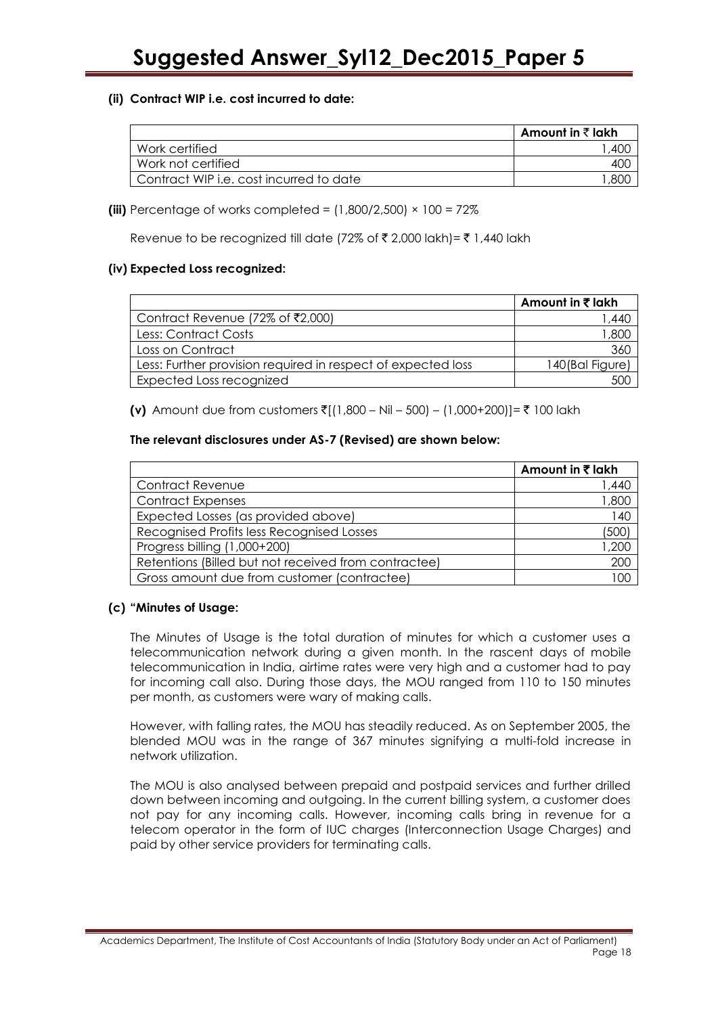# **(ii) Contract WIP i.e. cost incurred to date:**

|                                         | Amount in ₹ lakh |
|-----------------------------------------|------------------|
| Work certified                          |                  |
| Work not certified                      | 4UC              |
| Contract WIP i.e. cost incurred to date |                  |

**(iii)** Percentage of works completed =  $(1,800/2,500) \times 100 = 72\%$ 

Revenue to be recognized till date (72% of ₹ 2,000 lakh)= ₹ 1,440 lakh

# **(iv) Expected Loss recognized:**

|                                                              | Amount in ₹ lakh |
|--------------------------------------------------------------|------------------|
| Contract Revenue (72% of ₹2,000)                             | 44۱. ا           |
| Less: Contract Costs                                         | ,800             |
| Loss on Contract                                             | 360              |
| Less: Further provision required in respect of expected loss | 140(Bal Figure)  |
| Expected Loss recognized                                     |                  |

**(v)** Amount due from customers ₹[(1,800 – Nil – 500) – (1,000+200)]= ₹ 100 lakh

# **The relevant disclosures under AS-7 (Revised) are shown below:**

|                                                      | Amount in ₹ lakh |
|------------------------------------------------------|------------------|
| <b>Contract Revenue</b>                              | 1,440            |
| <b>Contract Expenses</b>                             | 1,800            |
| Expected Losses (as provided above)                  | 140              |
| Recognised Profits less Recognised Losses            | (500)            |
| Progress billing (1,000+200)                         | 1,200            |
| Retentions (Billed but not received from contractee) | 200              |
| Gross amount due from customer (contractee)          | I OC             |

# **(c) "Minutes of Usage:**

The Minutes of Usage is the total duration of minutes for which a customer uses a telecommunication network during a given month. In the rascent days of mobile telecommunication in India, airtime rates were very high and a customer had to pay for incoming call also. During those days, the MOU ranged from 110 to 150 minutes per month, as customers were wary of making calls.

However, with falling rates, the MOU has steadily reduced. As on September 2005, the blended MOU was in the range of 367 minutes signifying a multi-fold increase in network utilization.

The MOU is also analysed between prepaid and postpaid services and further drilled down between incoming and outgoing. In the current billing system, a customer does not pay for any incoming calls. However, incoming calls bring in revenue for a telecom operator in the form of IUC charges (Interconnection Usage Charges) and paid by other service providers for terminating calls.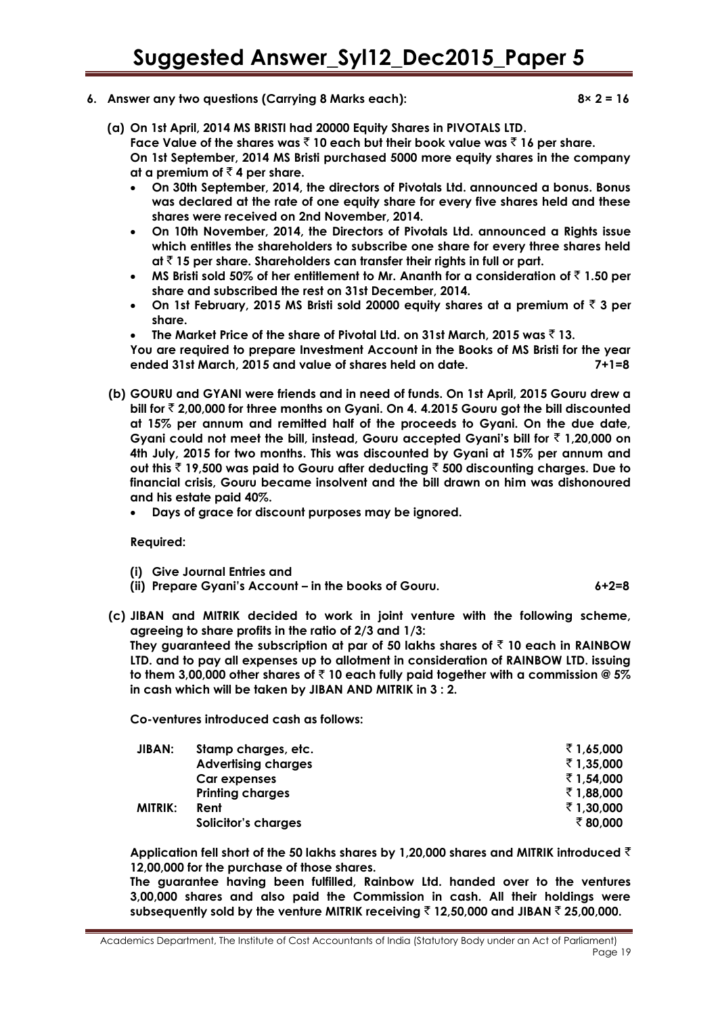#### **6. Answer any two questions (Carrying 8 Marks each): 8× 2 = 16**

- **(a) On 1st April, 2014 MS BRISTI had 20000 Equity Shares in PIVOTALS LTD. Face Value of the shares was** ` **10 each but their book value was** ` **16 per share. On 1st September, 2014 MS Bristi purchased 5000 more equity shares in the company** 
	- at a premium of  $\bar{z}$  4 per share. **On 30th September, 2014, the directors of Pivotals Ltd. announced a bonus. Bonus was declared at the rate of one equity share for every five shares held and these shares were received on 2nd November, 2014.**
	- **On 10th November, 2014, the Directors of Pivotals Ltd. announced a Rights issue which entitles the shareholders to subscribe one share for every three shares held at** ` **15 per share. Shareholders can transfer their rights in full or part.**
	- **MS Bristi sold 50% of her entitlement to Mr. Ananth for a consideration of** ` **1.50 per share and subscribed the rest on 31st December, 2014.**
	- **On 1st February, 2015 MS Bristi sold 20000 equity shares at a premium of** ` **3 per share.**
	- **The Market Price of the share of Pivotal Ltd. on 31st March, 2015 was** ` **13.**

**You are required to prepare Investment Account in the Books of MS Bristi for the year ended 31st March, 2015 and value of shares held on date. 7+1=8**

- **(b) GOURU and GYANI were friends and in need of funds. On 1st April, 2015 Gouru drew a bill for** ` **2,00,000 for three months on Gyani. On 4. 4.2015 Gouru got the bill discounted at 15% per annum and remitted half of the proceeds to Gyani. On the due date, Gyani could not meet the bill, instead, Gouru accepted Gyani"s bill for** ` **1,20,000 on 4th July, 2015 for two months. This was discounted by Gyani at 15% per annum and out this** ` **19,500 was paid to Gouru after deducting** ` **500 discounting charges. Due to financial crisis, Gouru became insolvent and the bill drawn on him was dishonoured and his estate paid 40%.**
	- **Days of grace for discount purposes may be ignored.**

**Required:**

- **(i) Give Journal Entries and**
- **(ii) Prepare Gyani"s Account – in the books of Gouru. 6+2=8**
- **(c) JIBAN and MITRIK decided to work in joint venture with the following scheme, agreeing to share profits in the ratio of 2/3 and 1/3:**

**They guaranteed the subscription at par of 50 lakhs shares of** ` **10 each in RAINBOW LTD. and to pay all expenses up to allotment in consideration of RAINBOW LTD. issuing to them 3,00,000 other shares of** ` **10 each fully paid together with a commission @ 5% in cash which will be taken by JIBAN AND MITRIK in 3 : 2.**

**Co-ventures introduced cash as follows:**

| <b>JIBAN:</b> | Stamp charges, etc.        | ₹1,65,000  |
|---------------|----------------------------|------------|
|               | <b>Advertising charges</b> | ₹1,35,000  |
|               | Car expenses               | ₹ 1,54,000 |
|               | <b>Printing charges</b>    | ₹1,88,000  |
| MITRIK:       | Rent                       | ₹1,30,000  |
|               | Solicitor's charges        | ₹80,000    |
|               |                            |            |

**Application fell short of the 50 lakhs shares by 1,20,000 shares and MITRIK introduced** ` **12,00,000 for the purchase of those shares.** 

**The guarantee having been fulfilled, Rainbow Ltd. handed over to the ventures 3,00,000 shares and also paid the Commission in cash. All their holdings were subsequently sold by the venture MITRIK receiving** ` **12,50,000 and JIBAN** ` **25,00,000.**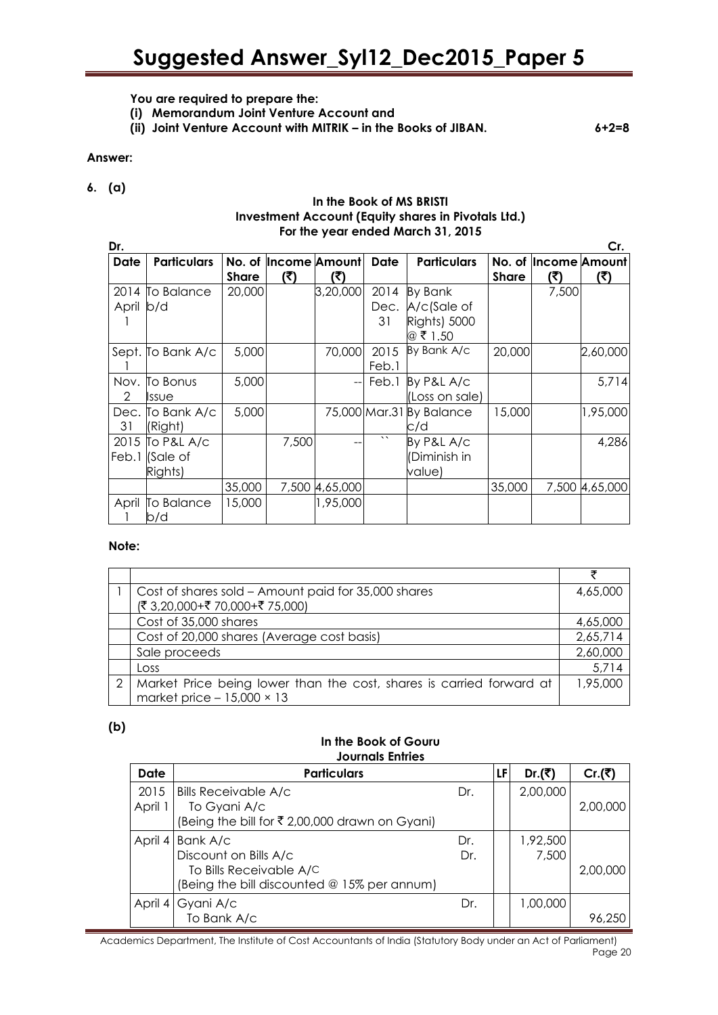**You are required to prepare the:** 

- **(i) Memorandum Joint Venture Account and**
- **(ii) Joint Venture Account with MITRIK – in the Books of JIBAN. 6+2=8**

# **Answer:**

# **6. (a)**

#### **In the Book of MS BRISTI Investment Account (Equity shares in Pivotals Ltd.) For the year ended March 31, 2015**

| Dr.       |                                              |              |                             |                   |                    |                                                           |                        |                             | Cr.            |
|-----------|----------------------------------------------|--------------|-----------------------------|-------------------|--------------------|-----------------------------------------------------------|------------------------|-----------------------------|----------------|
| Date      | <b>Particulars</b>                           | <b>Share</b> | No. of Income Amount<br>(र) | (?)               | Date               | <b>Particulars</b>                                        | No. of<br><b>Share</b> | <b>Income Amount</b><br>(₹) | (3)            |
| April b/d | 2014 To Balance                              | 20,000       |                             | 3,20,000          | 2014<br>Dec.<br>31 | By Bank<br>A/c(Sale of<br><b>Rights) 5000</b><br>@ ₹ 1.50 |                        | 7,500                       |                |
|           | Sept. To Bank A/c                            | 5,000        |                             | 70,000            | 2015<br>Feb.1      | By Bank A/c                                               | 20,000                 |                             | 2,60,000       |
| 2         | Nov. To Bonus<br>Issue                       | 5,000        |                             | $\qquad \qquad -$ | Feb.1              | By P&L A/c<br>(Loss on sale)                              |                        |                             | 5.714          |
| 31        | Dec. To Bank A/c<br>(Right)                  | 5,000        |                             |                   |                    | 75,000 Mar.31 By Balance<br>c/d                           | 15,000                 |                             | 1,95,000       |
|           | 2015 To P&L A/c<br>Feb.1 (Sale of<br>Rights) |              | 7,500                       |                   | $\lambda$          | By P&L A/c<br>(Diminish in<br>value)                      |                        |                             | 4,286          |
|           |                                              | 35,000       |                             | 7,500 4,65,000    |                    |                                                           | 35,000                 |                             | 7,500 4,65,000 |
| April     | To Balance<br>b/d                            | 15,000       |                             | 1,95,000          |                    |                                                           |                        |                             |                |

#### **Note:**

|               | Cost of shares sold - Amount paid for 35,000 shares                  | 4,65,000 |
|---------------|----------------------------------------------------------------------|----------|
|               | (₹ 3,20,000+₹ 70,000+₹ 75,000)                                       |          |
|               | Cost of 35,000 shares                                                | 4,65,000 |
|               | Cost of 20,000 shares (Average cost basis)                           | 2,65,714 |
|               | Sale proceeds                                                        | 2,60,000 |
|               | Loss                                                                 | 5,714    |
| $\mathcal{P}$ | Market Price being lower than the cost, shares is carried forward at | 1,95,000 |
|               | market price $-15,000 \times 13$                                     |          |

# **(b)**

# **In the Book of Gouru Journals Entries**

| Date    | <b>Particulars</b>                             |     | LFI | Dr.(₹)   | Cr.(₹)   |
|---------|------------------------------------------------|-----|-----|----------|----------|
| 2015    | <b>Bills Receivable A/c</b>                    | Dr. |     | 2,00,000 |          |
| April 1 | To Gyani A/c                                   |     |     |          | 2,00,000 |
|         | (Being the bill for ₹ 2,00,000 drawn on Gyani) |     |     |          |          |
| April 4 | Bank A/c                                       | Dr. |     | 1,92,500 |          |
|         | Discount on Bills A/c                          | Dr. |     | 7,500    |          |
|         | To Bills Receivable A/C                        |     |     |          | 2,00,000 |
|         | (Being the bill discounted @ 15% per annum)    |     |     |          |          |
|         | April 4 Gyani A/c                              | Dr. |     | 1,00,000 |          |
|         | To Bank A/c                                    |     |     |          | 96,250   |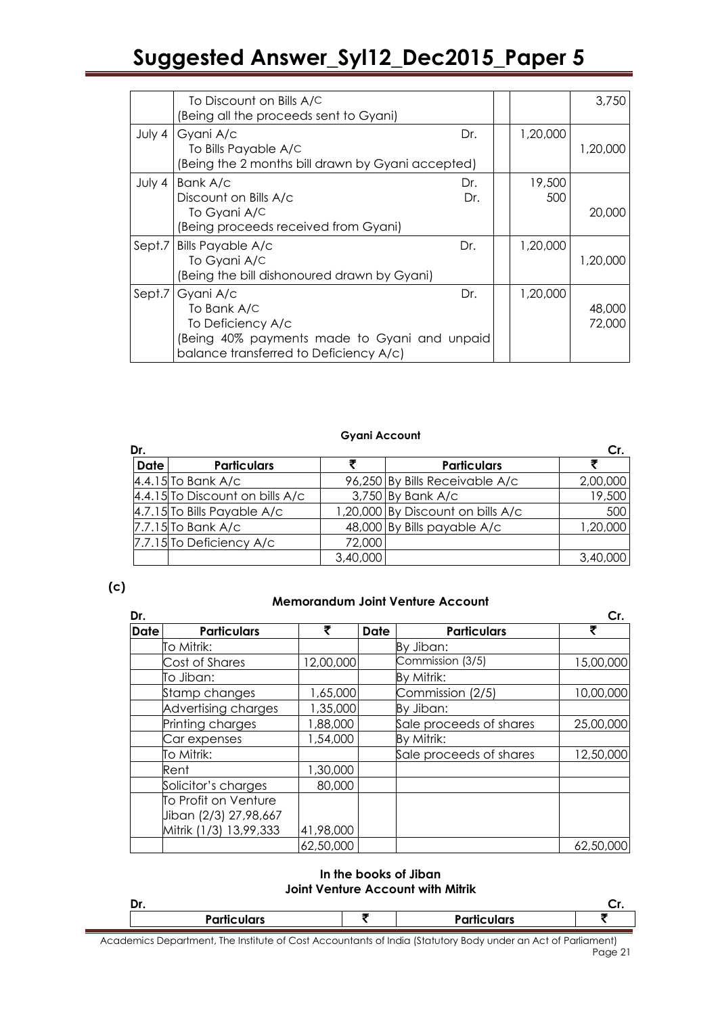|        | To Discount on Bills A/C                          |     |          | 3,750    |
|--------|---------------------------------------------------|-----|----------|----------|
|        | (Being all the proceeds sent to Gyani)            |     |          |          |
|        |                                                   |     |          |          |
| July 4 | Gyani A/c                                         | Dr. | 1,20,000 |          |
|        | To Bills Payable A/C                              |     |          | 1,20,000 |
|        | (Being the 2 months bill drawn by Gyani accepted) |     |          |          |
| July 4 | Bank A/c                                          | Dr. | 19,500   |          |
|        | Discount on Bills A/c                             | Dr. | 500      |          |
|        | To Gyani A/C                                      |     |          | 20,000   |
|        | (Being proceeds received from Gyani)              |     |          |          |
| Sept.7 | <b>Bills Payable A/c</b>                          | Dr. | 1,20,000 |          |
|        | To Gyani A/C                                      |     |          | 1,20,000 |
|        | (Being the bill dishonoured drawn by Gyani)       |     |          |          |
| Sept.7 | Gyani A/c                                         | Dr. | 1,20,000 |          |
|        | To Bank A/C                                       |     |          | 48,000   |
|        | To Deficiency A/c                                 |     |          | 72,000   |
|        | Being 40% payments made to Gyani and unpaid       |     |          |          |
|        | balance transferred to Deficiency A/c)            |     |          |          |

#### **Gyani Account**

| Dr.         |                                 |          |                                   | Cr.      |
|-------------|---------------------------------|----------|-----------------------------------|----------|
| <b>Date</b> | <b>Particulars</b>              |          | <b>Particulars</b>                |          |
|             | $4.4.15$ To Bank A/c            |          | 96,250 By Bills Receivable A/c    | 2,00,000 |
|             | 4.4.15 To Discount on bills A/c |          | 3,750 By Bank A/c                 | 19,500   |
|             | $4.7.15$ To Bills Payable A/c   |          | 1,20,000 By Discount on bills A/c | 500      |
|             | $7.7.15$ To Bank A/c            |          | 48,000 By Bills payable A/c       | 1,20,000 |
|             | 7.7.15 To Deficiency A/c        | 72,000   |                                   |          |
|             |                                 | 3,40,000 |                                   | 3,40,000 |

**(c)**

### **Memorandum Joint Venture Account**

| Dr.         | Cr.                    |           |      |                         |           |
|-------------|------------------------|-----------|------|-------------------------|-----------|
| <b>Date</b> | <b>Particulars</b>     | ₹         | Date | <b>Particulars</b>      | ₹         |
|             | To Mitrik:             |           |      | By Jiban:               |           |
|             | Cost of Shares         | 12,00,000 |      | Commission (3/5)        | 15,00,000 |
|             | To Jiban:              |           |      | By Mitrik:              |           |
|             | Stamp changes          | 1,65,000  |      | Commission (2/5)        | 10,00,000 |
|             | Advertising charges    | 1,35,000  |      | By Jiban:               |           |
|             | Printing charges       | 1,88,000  |      | Sale proceeds of shares | 25,00,000 |
|             | Car expenses           | 1,54,000  |      | By Mitrik:              |           |
|             | To Mitrik:             |           |      | Sale proceeds of shares | 12,50,000 |
|             | Rent                   | 1,30,000  |      |                         |           |
|             | Solicitor's charges    | 80,000    |      |                         |           |
|             | To Profit on Venture   |           |      |                         |           |
|             | Jiban (2/3) 27,98,667  |           |      |                         |           |
|             | Mitrik (1/3) 13,99,333 | 41,98,000 |      |                         |           |
|             |                        | 62,50,000 |      |                         | 62,50,000 |

#### **In the books of Jiban Joint Venture Account with Mitrik**

| Dr. |                    |                    | ∾. |
|-----|--------------------|--------------------|----|
|     | <b>Particulars</b> | <b>Particulars</b> |    |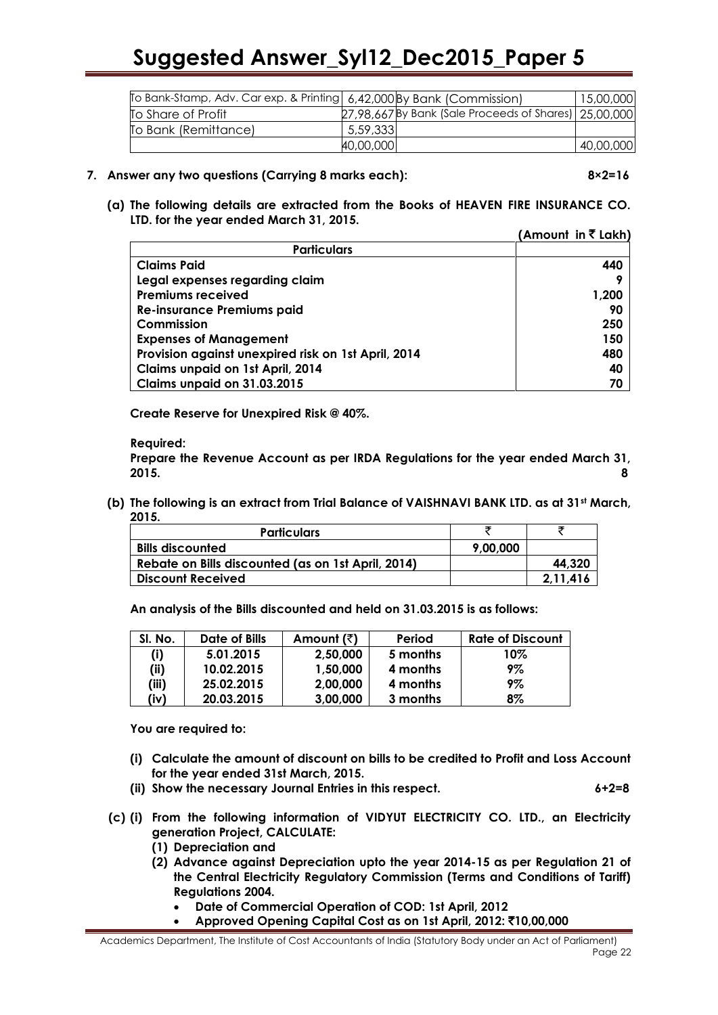| To Bank-Stamp, Adv. Car exp. & Printing   6,42,000 By Bank (Commission) |           |                                                        | 15,00,000 |
|-------------------------------------------------------------------------|-----------|--------------------------------------------------------|-----------|
| To Share of Profit                                                      |           | 27,98,667By Bank (Sale Proceeds of Shares)   25,00,000 |           |
| To Bank (Remittance)                                                    | 5,59,3331 |                                                        |           |
|                                                                         | 40,00,000 |                                                        | 40,00,000 |

#### **7. Answer any two questions (Carrying 8 marks each): 8×2=16**

**(a) The following details are extracted from the Books of HEAVEN FIRE INSURANCE CO. LTD. for the year ended March 31, 2015.**  $(Amount in **7** l<sub>ab</sub>)$ 

|                                                     | AINVUIL III \ LUKIII |
|-----------------------------------------------------|----------------------|
| <b>Particulars</b>                                  |                      |
| <b>Claims Paid</b>                                  | 440                  |
| Legal expenses regarding claim                      |                      |
| <b>Premiums received</b>                            | 1.200                |
| <b>Re-insurance Premiums paid</b>                   | 90                   |
| Commission                                          | 250                  |
| <b>Expenses of Management</b>                       | 150                  |
| Provision against unexpired risk on 1st April, 2014 | 480                  |
| Claims unpaid on 1st April, 2014                    | 40                   |
| Claims unpaid on 31.03.2015                         | 70                   |

**Create Reserve for Unexpired Risk @ 40%.**

**Required:** 

**Prepare the Revenue Account as per IRDA Regulations for the year ended March 31, 2015. 8**

**(b) The following is an extract from Trial Balance of VAISHNAVI BANK LTD. as at 31st March, 2015.**

| <b>Particulars</b>                                 |          |          |
|----------------------------------------------------|----------|----------|
| <b>Bills discounted</b>                            | 9.00.000 |          |
| Rebate on Bills discounted (as on 1st April, 2014) |          | 44,320   |
| <b>Discount Received</b>                           |          | 2.11.416 |

**An analysis of the Bills discounted and held on 31.03.2015 is as follows:**

| SI. No. | Date of Bills | Amount $(\bar{z})$ | Period   | <b>Rate of Discount</b> |
|---------|---------------|--------------------|----------|-------------------------|
| (i)     | 5.01.2015     | 2,50,000           | 5 months | 10%                     |
| (ii)    | 10.02.2015    | 1,50,000           | 4 months | 9%                      |
| (iii)   | 25.02.2015    | 2,00,000           | 4 months | 9%                      |
| (iv)    | 20.03.2015    | 3,00,000           | 3 months | 8%                      |

**You are required to:**

- **(i) Calculate the amount of discount on bills to be credited to Profit and Loss Account for the year ended 31st March, 2015.**
- **(ii) Show the necessary Journal Entries in this respect. 6+2=8**
- **(c) (i) From the following information of VIDYUT ELECTRICITY CO. LTD., an Electricity generation Project, CALCULATE:**
	- **(1) Depreciation and**
	- **(2) Advance against Depreciation upto the year 2014-15 as per Regulation 21 of the Central Electricity Regulatory Commission (Terms and Conditions of Tariff) Regulations 2004.**
		- **Date of Commercial Operation of COD: 1st April, 2012**
		- **Approved Opening Capital Cost as on 1st April, 2012:** `**10,00,000**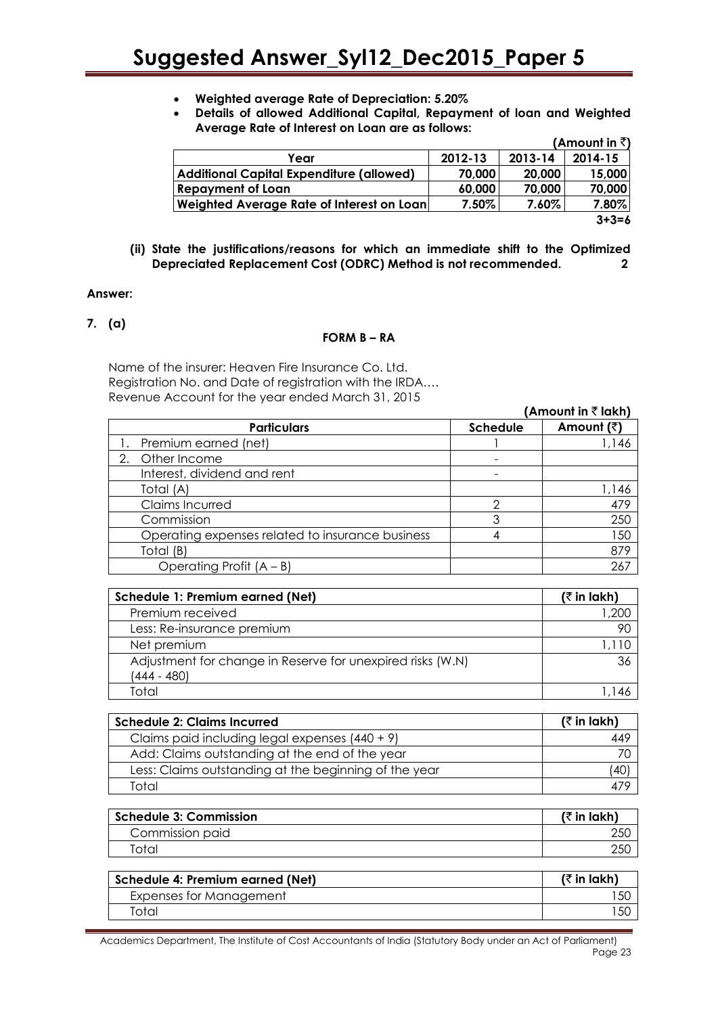- **Weighted average Rate of Depreciation: 5.20%**
- **Details of allowed Additional Capital, Repayment of loan and Weighted Average Rate of Interest on Loan are as follows:**

|                                                 |         |         | (Amount in $\bar{z}$ ) |
|-------------------------------------------------|---------|---------|------------------------|
| Year                                            | 2012-13 | 2013-14 | 2014-15                |
| <b>Additional Capital Expenditure (allowed)</b> | 70,000  | 20,000  | 15,000                 |
| <b>Repayment of Loan</b>                        | 60,000  | 70,000  | 70,000                 |
| Weighted Average Rate of Interest on Loan       | 7.50%   | 7.60%   | 7.80%                  |
|                                                 |         |         | $3 + 3 = 6$            |

**(ii) State the justifications/reasons for which an immediate shift to the Optimized Depreciated Replacement Cost (ODRC) Method is not recommended. 2**

#### **Answer:**

**7. (a)**

#### **FORM B – RA**

Name of the insurer: Heaven Fire Insurance Co. Ltd. Registration No. and Date of registration with the IRDA…. Revenue Account for the year ended March 31, 2015

|                                                  |                 | (Amount in $\bar{z}$ lakh) |
|--------------------------------------------------|-----------------|----------------------------|
| <b>Particulars</b>                               | <b>Schedule</b> | Amount (₹)                 |
| Premium earned (net)                             |                 | 1,146                      |
| Other Income<br>2.                               |                 |                            |
| Interest, dividend and rent                      |                 |                            |
| Total (A)                                        |                 | 1,146                      |
| Claims Incurred                                  | ⌒               | 479                        |
| Commission                                       |                 | 250                        |
| Operating expenses related to insurance business |                 | 150                        |
| Total (B)                                        |                 | 879                        |
| Operating Profit $(A - B)$                       |                 | 267                        |

| Schedule 1: Premium earned (Net)                                          | $($ ₹ in lakh) |
|---------------------------------------------------------------------------|----------------|
| Premium received                                                          | 1,200          |
| Less: Re-insurance premium                                                | 90             |
| Net premium                                                               | 1.110          |
| Adjustment for change in Reserve for unexpired risks (W.N)<br>(444 - 480) | 36             |
| intoi                                                                     |                |

| <b>Schedule 2: Claims Incurred</b>                    | ( $\bar{\tau}$ in lakh) |
|-------------------------------------------------------|-------------------------|
| Claims paid including legal expenses $(440 + 9)$      | 449                     |
| Add: Claims outstanding at the end of the year        |                         |
| Less: Claims outstanding at the beginning of the year | (40)                    |
| Total                                                 |                         |

| <b>Schedule 3: Commission</b> | (₹ in lakh) |
|-------------------------------|-------------|
| Commission paid               | 250         |
| "otal                         | 250         |

| Schedule 4: Premium earned (Net) | (₹ in lakh) |
|----------------------------------|-------------|
| Expenses for Management          | ' 50        |
| intal                            | 15C         |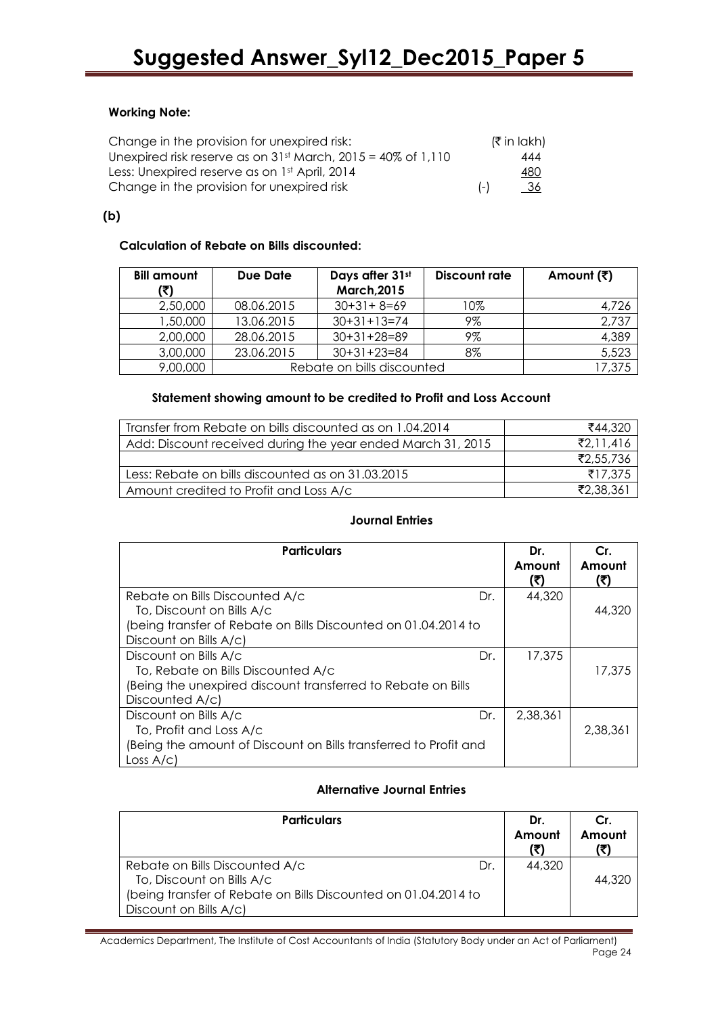# **Working Note:**

| Change in the provision for unexpired risk:                    | (₹ in lakh) |
|----------------------------------------------------------------|-------------|
| Unexpired risk reserve as on $31st$ March, 2015 = 40% of 1,110 | 444         |
| Less: Unexpired reserve as on 1st April, 2014                  | <u>480</u>  |
| Change in the provision for unexpired risk                     | <u>36</u>   |

# **(b)**

# **Calculation of Rebate on Bills discounted:**

| <b>Bill amount</b><br>(₹) | Due Date   | Days after 31st<br><b>March, 2015</b> | Discount rate | Amount (₹) |
|---------------------------|------------|---------------------------------------|---------------|------------|
| 2,50,000                  | 08.06.2015 | $30+31+8=69$                          | 10%           | 4,726      |
| .50,000 ا                 | 13.06.2015 | $30+31+13=74$                         | 9%            | 2,737      |
| 2,00,000                  | 28.06.2015 | $30+31+28=89$                         | 9%            | 4,389      |
| 3,00,000                  | 23.06.2015 | $30+31+23=84$                         | 8%            | 5,523      |
| 9,00,000                  |            | Rebate on bills discounted            |               | 17,375     |

# **Statement showing amount to be credited to Profit and Loss Account**

| Transfer from Rebate on bills discounted as on 1.04.2014    | ₹44,320              |
|-------------------------------------------------------------|----------------------|
| Add: Discount received during the year ended March 31, 2015 | $\mathsf{Z}2.11.416$ |
|                                                             | ₹2,55,736            |
| Less: Rebate on bills discounted as on 31.03.2015           | ₹17.375              |
| Amount credited to Profit and Loss A/c                      | ₹2,38,361            |

# **Journal Entries**

| <b>Particulars</b>                                               | Dr.<br>Amount<br>(₹) | Cr.<br>Amount<br>(₹) |
|------------------------------------------------------------------|----------------------|----------------------|
| Rebate on Bills Discounted A/c<br>Dr.                            | 44,320               |                      |
| To, Discount on Bills A/c                                        |                      | 44,320               |
| (being transfer of Rebate on Bills Discounted on 01.04.2014 to   |                      |                      |
| Discount on Bills A/c)                                           |                      |                      |
| Discount on Bills A/c<br>Dr.                                     | 17,375               |                      |
| To, Rebate on Bills Discounted A/c                               |                      | 17.375               |
| (Being the unexpired discount transferred to Rebate on Bills     |                      |                      |
| Discounted A/c)                                                  |                      |                      |
| Discount on Bills A/c<br>Dr.                                     | 2,38,361             |                      |
| To, Profit and Loss A/c                                          |                      | 2,38,361             |
| (Being the amount of Discount on Bills transferred to Profit and |                      |                      |
| Loss A/c                                                         |                      |                      |

# **Alternative Journal Entries**

| <b>Particulars</b>                                             | Dr.    | Cr.    |
|----------------------------------------------------------------|--------|--------|
|                                                                | Amount | Amount |
| Rebate on Bills Discounted A/c<br>Dr.                          | 44,320 |        |
| To, Discount on Bills A/c                                      |        | 44,320 |
| (being transfer of Rebate on Bills Discounted on 01.04.2014 to |        |        |
| Discount on Bills A/c)                                         |        |        |